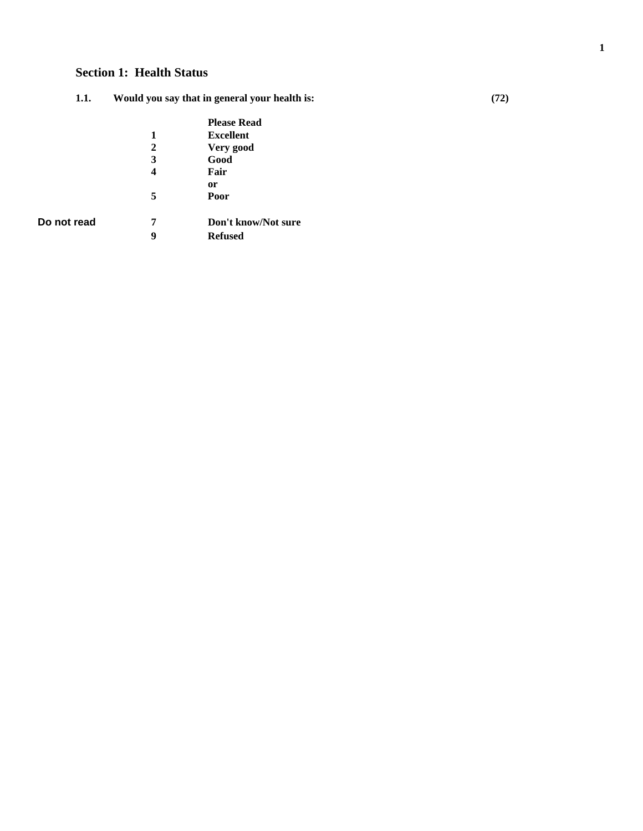# **Section 1: Health Status**

| 1.1. | Would you say that in general your health is: | (72) |
|------|-----------------------------------------------|------|
|      |                                               |      |

|             |   | <b>Please Read</b>  |
|-------------|---|---------------------|
|             | 1 | <b>Excellent</b>    |
|             | 2 | Very good           |
|             | 3 | Good                |
|             | 4 | Fair                |
|             |   | 0r                  |
|             | 5 | Poor                |
| Do not read | 7 | Don't know/Not sure |
|             | 9 | <b>Refused</b>      |

**1**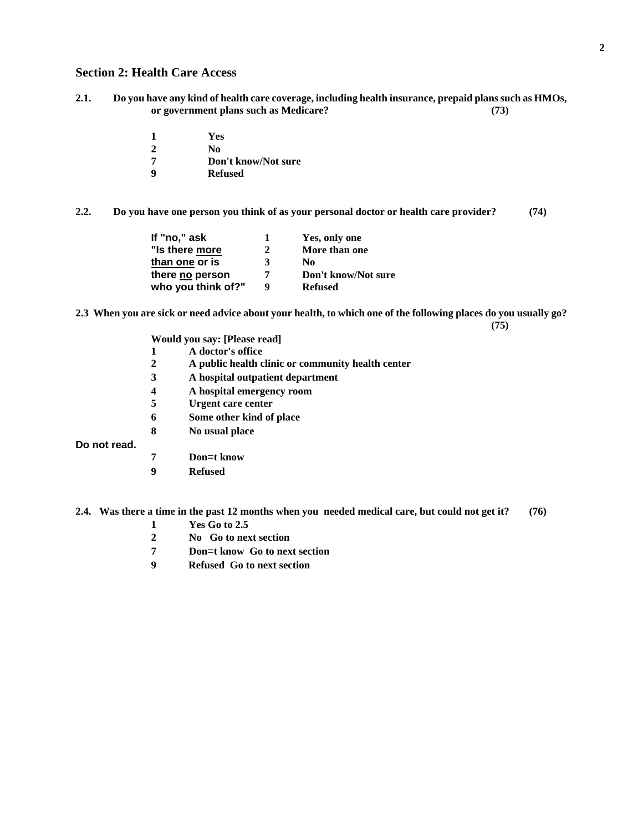#### **Section 2: Health Care Access**

- **2.1. Do you have any kind of health care coverage, including health insurance, prepaid plans such as HMOs, or government plans such as Medicare? (73)** 
	- **1 Yes 2 No 7 Don't know/Not sure**
	-
	- **9 Refused**

**2.2. Do you have one person you think of as your personal doctor or health care provider? (74)** 

| If "no," ask       | 1. | Yes, only one       |
|--------------------|----|---------------------|
| "Is there more     | 2  | More than one       |
| than one or is     | 3  | No                  |
| there no person    | 7  | Don't know/Not sure |
| who you think of?" | Q  | <b>Refused</b>      |

**2.3 When you are sick or need advice about your health, to which one of the following places do you usually go? (75)** 

**Would you say: [Please read]** 

- **1 A doctor's office**
- **2 A public health clinic or community health center**
- **3 A hospital outpatient department**
- **4 A hospital emergency room**
- **5 Urgent care center**
- **6 Some other kind of place**
- **8 No usual place**

**Do not read.** 

- **7 Don**=**t know**
- **9 Refused**

**2.4. Was there a time in the past 12 months when you needed medical care, but could not get it? (76)** 

- **1 Yes Go to 2.5**
- **2 No Go to next section**
- **7 Don**=**t know Go to next section**
- **9 Refused Go to next section**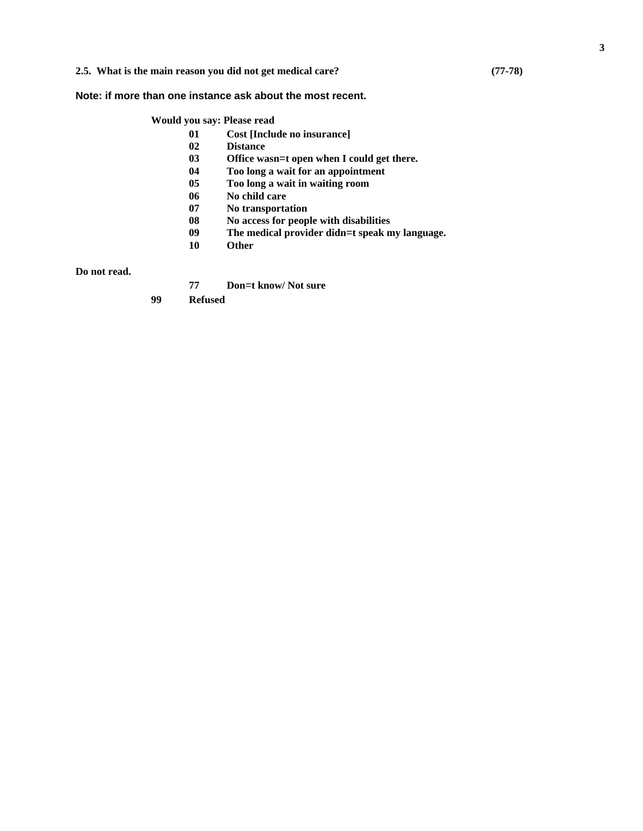#### **2.5. What is the main reason you did not get medical care? (77-78)**

#### **Note: if more than one instance ask about the most recent.**

#### **Would you say: Please read**

- **01 Cost [Include no insurance]** 
	- **Distance**
- **03** Office wasn=t open when I could get there.<br>**04** Too long a wait for an appointment
- **04 Too long a wait for an appointment**
- **05 Too long a wait in waiting room**
- **06 No child care**
- **07 No transportation**
- **08 No access for people with disabilities**
- **09 The medical provider didn**=**t speak my language.**
- **10 Other**

**Do not read.** 

**77 Don**=**t know/ Not sure** 

**99 Refused**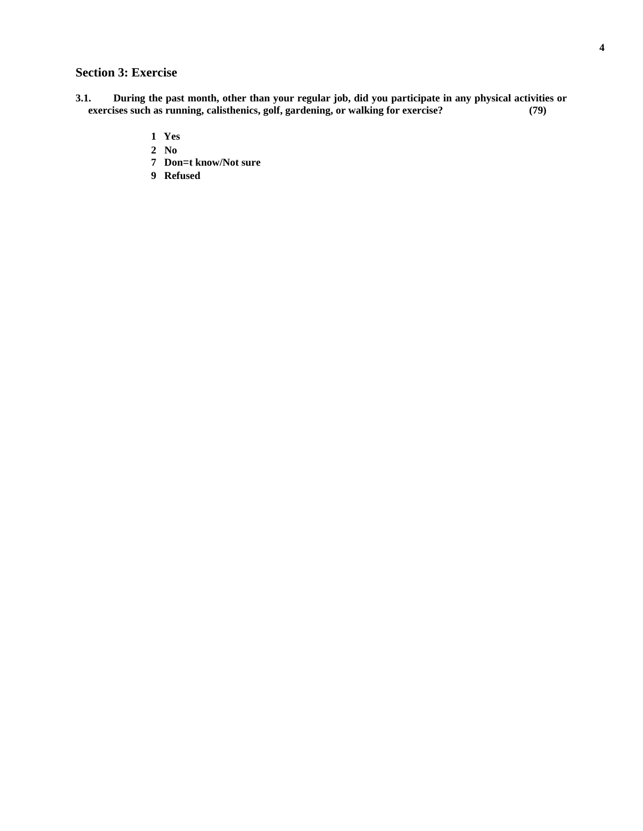# **Section 3: Exercise**

- **3.1. During the past month, other than your regular job, did you participate in any physical activities or exercises such as running, calisthenics, golf, gardening, or walking for exercise? (79)** 
	- **1 Yes**
	- **2 No**
	- **7 Don**=**t know/Not sure**
	- **9 Refused**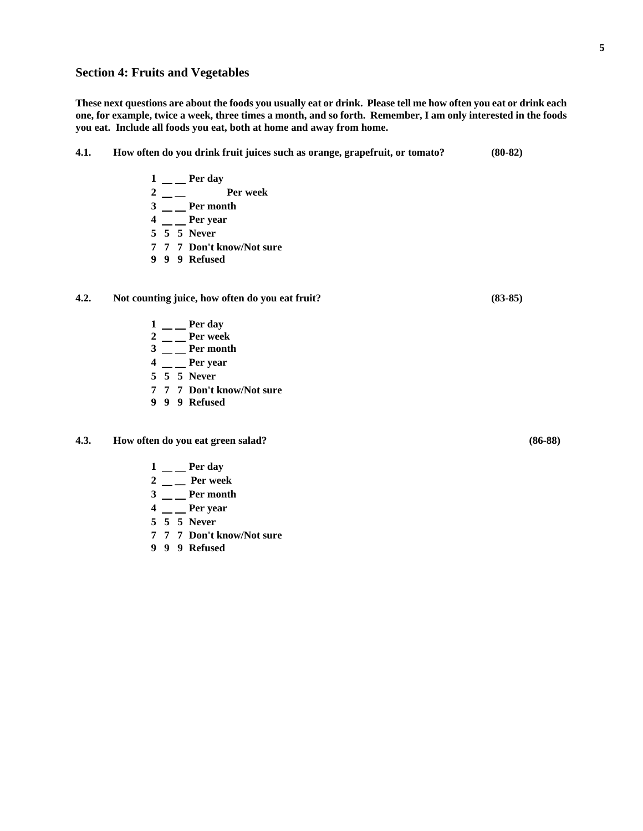#### **Section 4: Fruits and Vegetables**

**These next questions are about the foods you usually eat or drink. Please tell me how often you eat or drink each one, for example, twice a week, three times a month, and so forth. Remember, I am only interested in the foods you eat. Include all foods you eat, both at home and away from home.** 

- **4.1. How often do you drink fruit juices such as orange, grapefruit, or tomato? (80-82)** 
	- $1 \_\_\_\$  Per day
	- **2 \_\_ Per week**
	- 3 \_\_ Per month
	- **4** \_\_ Per year
	- **5 5 5 Never**
	- **7 7 7 Don't know/Not sure**
	- **9 9 9 Refused**

#### **4.2. Not counting juice, how often do you eat fruit? (83-85)**

- $1 \_\_\_\$  Per day
- **2** \_\_ Per week
- $3 \_\_$ **Per month**
- **4** \_\_ Per year
- **5 5 5 Never**
- **7 7 7 Don't know/Not sure**
- **9 9 9 Refused**
- **4.3. How often do you eat green salad? (86-88)** 
	- $1 \_\_\_\$ Per day
	- **2 \_\_ Per week**
	- 3 \_\_ Per month
	- $4 \_\_\_\$ Per year
	- **5 5 5 Never**
	- **7 7 7 Don't know/Not sure**
	- **9 9 9 Refused**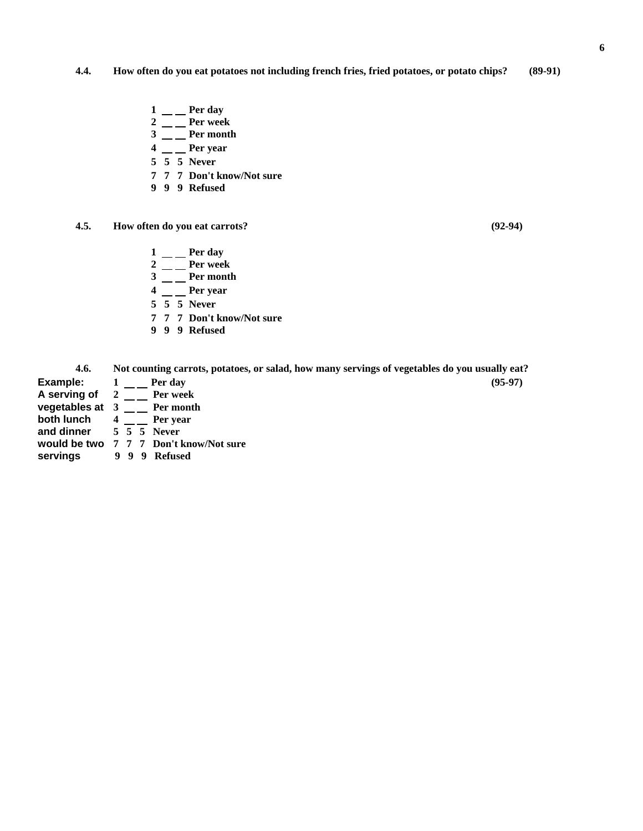## **4.4. How often do you eat potatoes not including french fries, fried potatoes, or potato chips? (89-91)**

- 1 \_\_ Per day
- **2** \_\_ Per week
- $3 \_\_$ **Per month**
- **4** \_\_ Per year
	- **5 5 5 Never**
	- **7 7 7 Don't know/Not sure**
	- **9 9 9 Refused**
- **4.5. How often do you eat carrots? (92-94)** 
	- $1 \_\_\_\$  Per day
	- 2 \_\_ **Per** week
	- $3 \_\_$ **Per month**
	- **4** \_\_ Per year
	- **5 5 5 Never**
	- **7 7 7 Don't know/Not sure**
	- **9 9 9 Refused**

| 4.6.              | Not counting carrots, potatoes, or salad, how many servings of vegetables do you usually eat? |           |
|-------------------|-----------------------------------------------------------------------------------------------|-----------|
| Example:          | 1 Perday                                                                                      | $(95-97)$ |
| A serving of 2    | Per week                                                                                      |           |
| vegetables at $3$ | Per month                                                                                     |           |

- **both lunch**  $4 \overline{)} \overline{ }$  Per year
	-
- **and dinner 5 5 5 Never**
- **would be two 7 7 7 Don't know/Not sure**
- **servings 9 9 9 Refused**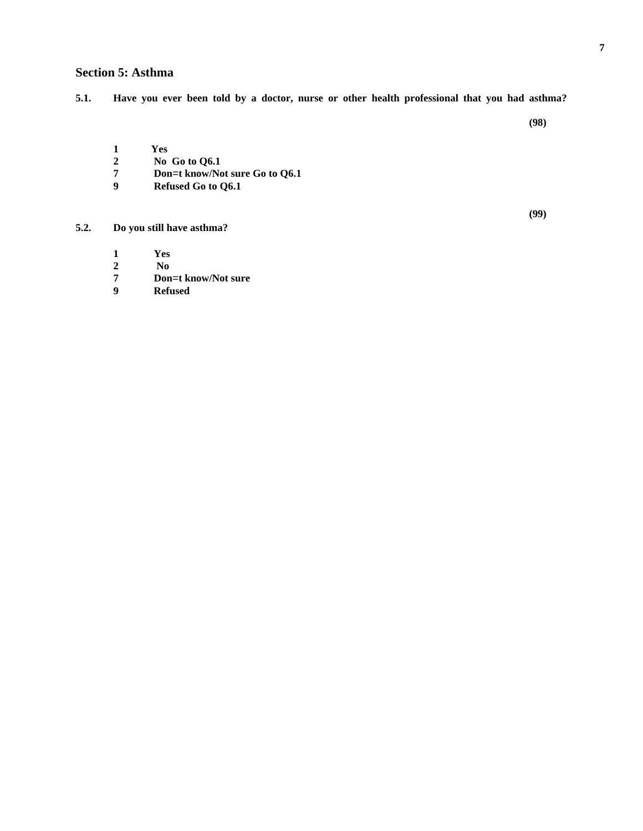### **Section 5: Asthma**

**(98)** 

- **1 Yes**
- **2 No Go to Q6.1**
- **7 Don**=**t know/Not sure Go to Q6.1**
- **9 Refused Go to Q6.1**

**(99)** 

### **5.2. Do you still have asthma?**

- **1 Yes**
- **2 No**
- **7 Don**=**t know/Not sure**
- **9 Refused**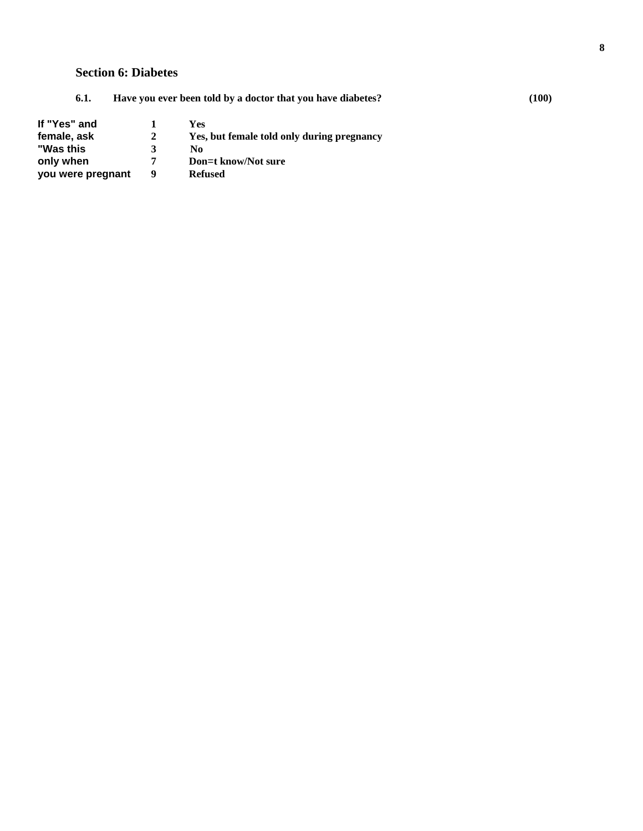# **Section 6: Diabetes**

| If "Yes" and      |   | Yes                                        |
|-------------------|---|--------------------------------------------|
| female, ask       | 2 | Yes, but female told only during pregnancy |
| "Was this         | 3 | No                                         |
| only when         | 7 | Don=t know/Not sure                        |
| you were pregnant | 9 | <b>Refused</b>                             |

**6.1. Have you ever been told by a doctor that you have diabetes? (100)**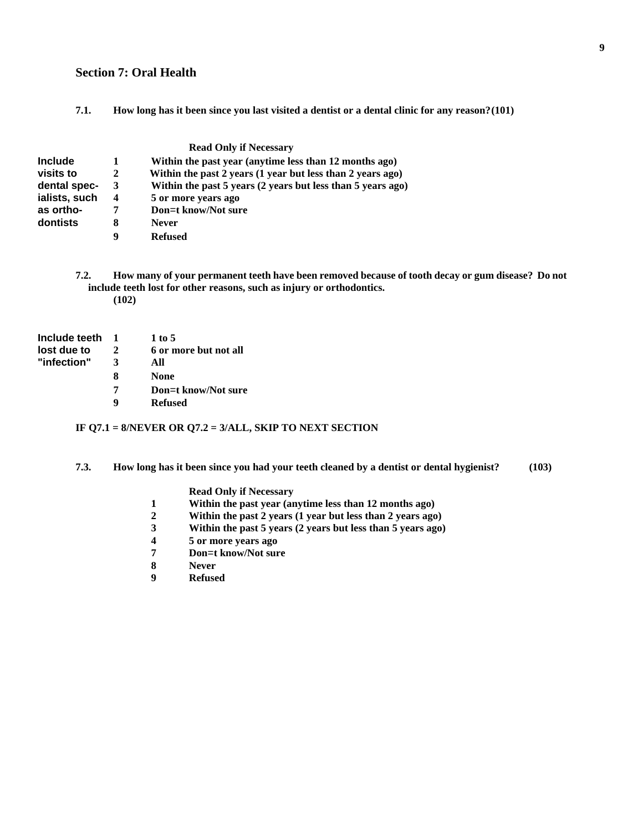#### **Section 7: Oral Health**

**7.1. How long has it been since you last visited a dentist or a dental clinic for any reason? (101)** 

|                |   | <b>Read Only if Necessary</b>                               |
|----------------|---|-------------------------------------------------------------|
| <b>Include</b> |   | Within the past year (anytime less than 12 months ago)      |
| visits to      | 2 | Within the past 2 years (1 year but less than 2 years ago)  |
| dental spec-   | 3 | Within the past 5 years (2 years but less than 5 years ago) |
| ialists, such  | 4 | 5 or more years ago                                         |
| as ortho-      | 7 | Don=t know/Not sure                                         |
| dontists       | 8 | <b>Never</b>                                                |
|                | 9 | <b>Refused</b>                                              |

**7.2. How many of your permanent teeth have been removed because of tooth decay or gum disease? Do not include teeth lost for other reasons, such as injury or orthodontics. (102)** 

| Include teeth |   | 1 to 5                |
|---------------|---|-----------------------|
| lost due to   | 2 | 6 or more but not all |
| "infection"   | 3 | All                   |
|               | 8 | None                  |
|               | 7 | Don=t know/Not sure   |
|               | q | <b>Refused</b>        |

#### **IF Q7.1 = 8/NEVER OR Q7.2 = 3/ALL, SKIP TO NEXT SECTION**

**7.3. How long has it been since you had your teeth cleaned by a dentist or dental hygienist? (103)** 

#### **Read Only if Necessary**

- **1 Within the past year (anytime less than 12 months ago)**
- **2 Within the past 2 years (1 year but less than 2 years ago)**
- **3 Within the past 5 years (2 years but less than 5 years ago)**
- **4 5 or more years ago**
- **7 Don**=**t know/Not sure**
- **Never**
- **9 Refused**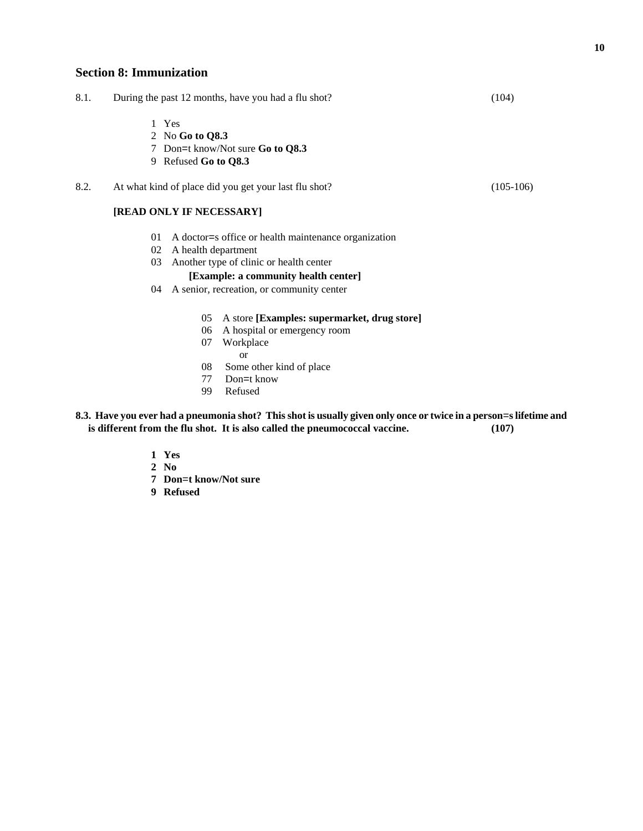### **Section 8: Immunization**

| 8.1. | During the past 12 months, have you had a flu shot? | (104) |
|------|-----------------------------------------------------|-------|
|      |                                                     |       |

- 1 Yes
- 2 No **Go to Q8.3**
- 7 Don=t know/Not sure **Go to Q8.3**
- 9 Refused **Go to Q8.3**
- 8.2. At what kind of place did you get your last flu shot? (105-106)

#### **[READ ONLY IF NECESSARY]**

- 01 A doctor=s office or health maintenance organization
- 02 A health department
- 03 Another type of clinic or health center

#### **[Example: a community health center]**

- 04 A senior, recreation, or community center
	- 05 A store **[Examples: supermarket, drug store]**
	- 06 A hospital or emergency room
	- 07 Workplace
		- or
	- 08 Some other kind of place
	- 77 Don=t know
	- 99 Refused
- **8.3. Have you ever had a pneumonia shot? This shot is usually given only once or twice in a person**=**s lifetime and is different from the flu shot. It is also called the pneumococcal vaccine. (107)** 
	- **1 Yes**
	- **2 No**
	- **7 Don**=**t know/Not sure**
	- **9 Refused**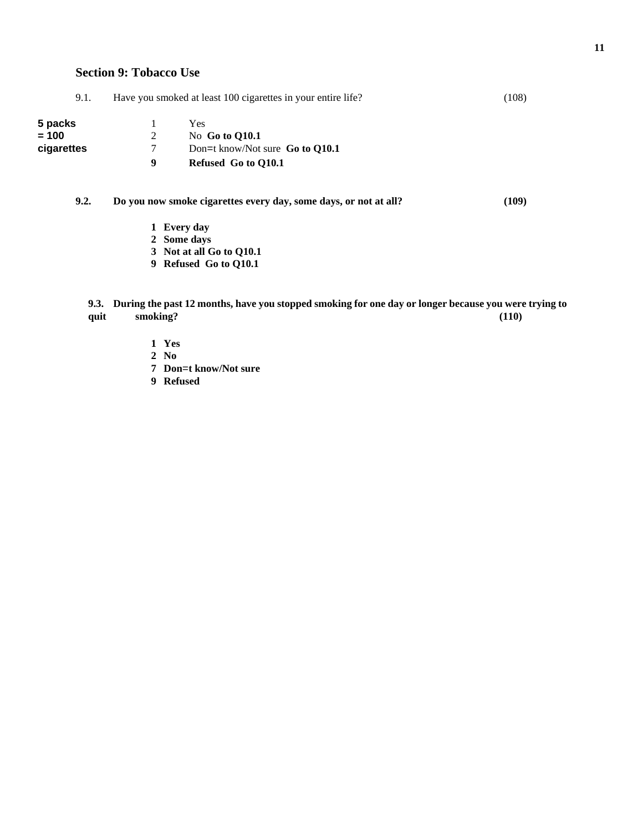| 9.1.       |   | Have you smoked at least 100 cigarettes in your entire life?     | (108) |
|------------|---|------------------------------------------------------------------|-------|
| 5 packs    |   | Yes                                                              |       |
| = 100      | 2 | No Go to $Q10.1$                                                 |       |
| cigarettes | 7 | Don=t know/Not sure $Go to O10.1$                                |       |
|            | 9 | Refused Go to O10.1                                              |       |
| 9.2.       |   | Do you now smoke cigarettes every day, some days, or not at all? | (109) |
|            |   | 1 Every day                                                      |       |
|            |   | $2$ Come dove                                                    |       |

- **2 Some days**
- **3 Not at all Go to Q10.1**
- **9 Refused Go to Q10.1**

**9.3. During the past 12 months, have you stopped smoking for one day or longer because you were trying to**  quit smoking? (110)

- **1 Yes**
- **2 No**
- **7 Don**=**t know/Not sure**
- **9 Refused**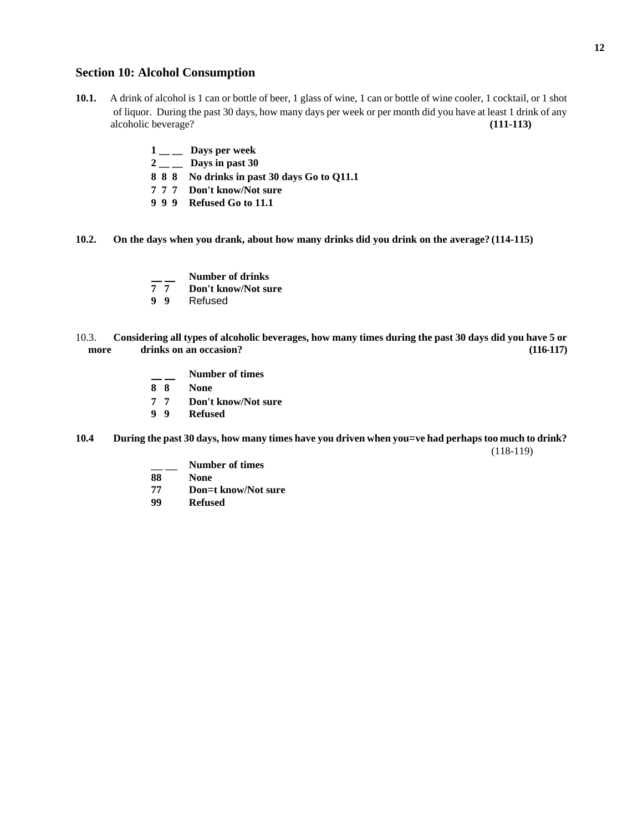### **Section 10: Alcohol Consumption**

- **10.1.** A drink of alcohol is 1 can or bottle of beer, 1 glass of wine, 1 can or bottle of wine cooler, 1 cocktail, or 1 shot of liquor. During the past 30 days, how many days per week or per month did you have at least 1 drink of any alcoholic beverage? **(111-113)** 
	- **1 \_\_ \_\_ Days per week**
	- **2 \_\_ \_\_ Days in past 30**
	- **8 8 8 No drinks in past 30 days Go to Q11.1**
	- **7 7 7 Don't know/Not sure**
	- **9 9 9 Refused Go to 11.1**
- **10.2. On the days when you drank, about how many drinks did you drink on the average? (114-115)** 
	- **T** Number of drinks<br> **7 7** Don't know/Not sum
	- **7 7 Don't know/Not sure**
	- **9 9** Refused
- 10.3. **Considering all types of alcoholic beverages, how many times during the past 30 days did you have 5 or more drinks on an occasion? (116-117)** 
	- **Number of times**
	- **8 8 None**
	- **7 7 Don't know/Not sure**
	- **9 9 Refused**
- **10.4 During the past 30 days, how many times have you driven when you**=**ve had perhaps too much to drink?**  (118-119)
	- \_\_ \_\_ **Number of times**
	- **88 None**
	- **77 Don**=**t know/Not sure**
	- **99 Refused**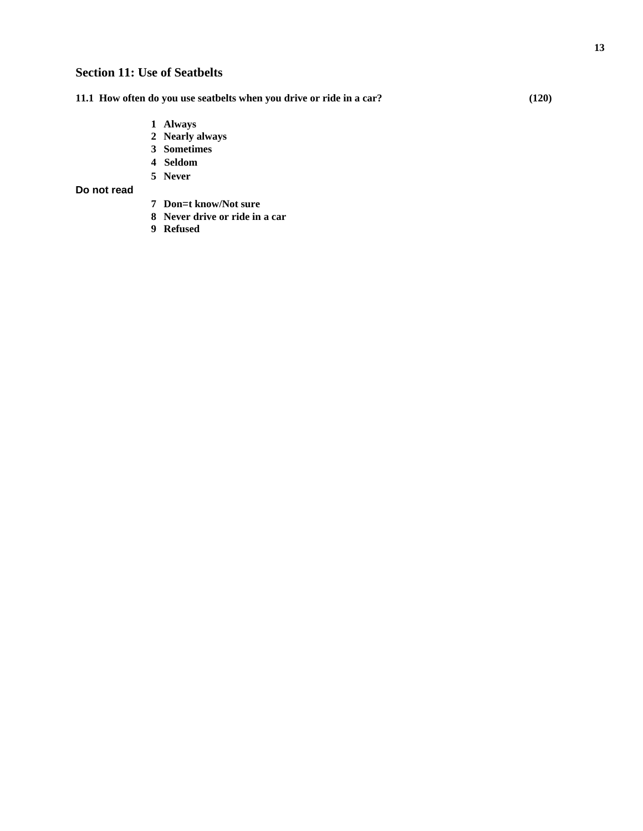**11.1 How often do you use seatbelts when you drive or ride in a car? (120)** 

- **1 Always**
- **2 Nearly always**
- **3 Sometimes**
- **4 Seldom**
- **5 Never**

**Do not read**

- **7 Don**=**t know/Not sure**
- **8 Never drive or ride in a car**
- **9 Refused**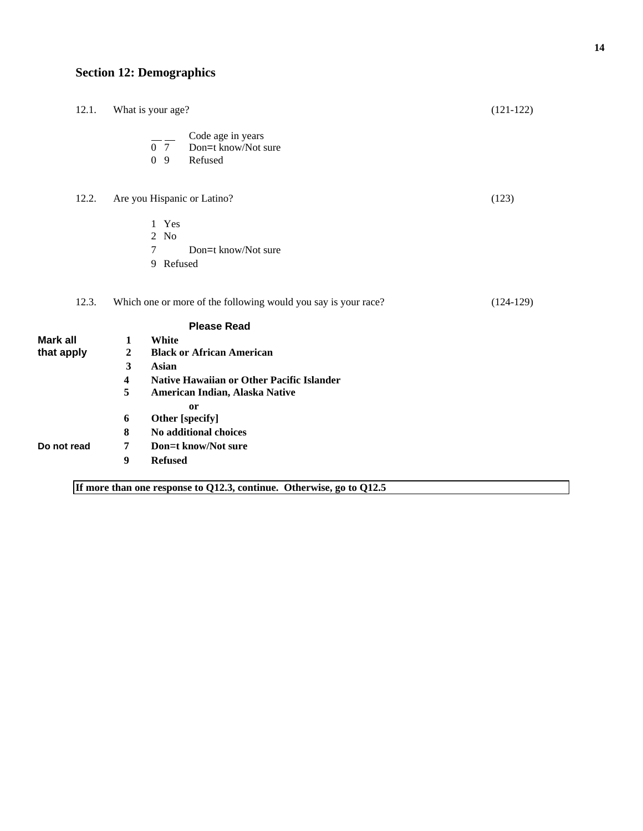# **Section 12: Demographics**

| 12.1.                         | What is your age?                                                                                                                                                                                                                                                                  | $(121-122)$ |
|-------------------------------|------------------------------------------------------------------------------------------------------------------------------------------------------------------------------------------------------------------------------------------------------------------------------------|-------------|
|                               | Code age in years<br>$\frac{1}{0}$ 7 Don=t know/Not sure<br>0 <sub>9</sub><br>Refused                                                                                                                                                                                              |             |
| 12.2.                         | Are you Hispanic or Latino?                                                                                                                                                                                                                                                        | (123)       |
|                               | 1 Yes<br>$2$ No<br>7<br>Don=t know/Not sure<br>9 Refused                                                                                                                                                                                                                           |             |
| 12.3.                         | Which one or more of the following would you say is your race?                                                                                                                                                                                                                     | $(124-129)$ |
|                               | <b>Please Read</b>                                                                                                                                                                                                                                                                 |             |
| <b>Mark all</b><br>that apply | White<br>1<br>$\overline{2}$<br><b>Black or African American</b><br>$\mathbf{3}$<br><b>Asian</b><br><b>Native Hawaiian or Other Pacific Islander</b><br>$\overline{\mathbf{4}}$<br>5<br>American Indian, Alaska Native<br>or<br>Other [specify]<br>6<br>No additional choices<br>8 |             |
| Do not read                   | Don=t know/Not sure<br>7<br>$\boldsymbol{9}$<br><b>Refused</b>                                                                                                                                                                                                                     |             |
|                               | If more than one response to Q12.3, continue. Otherwise, go to Q12.5                                                                                                                                                                                                               |             |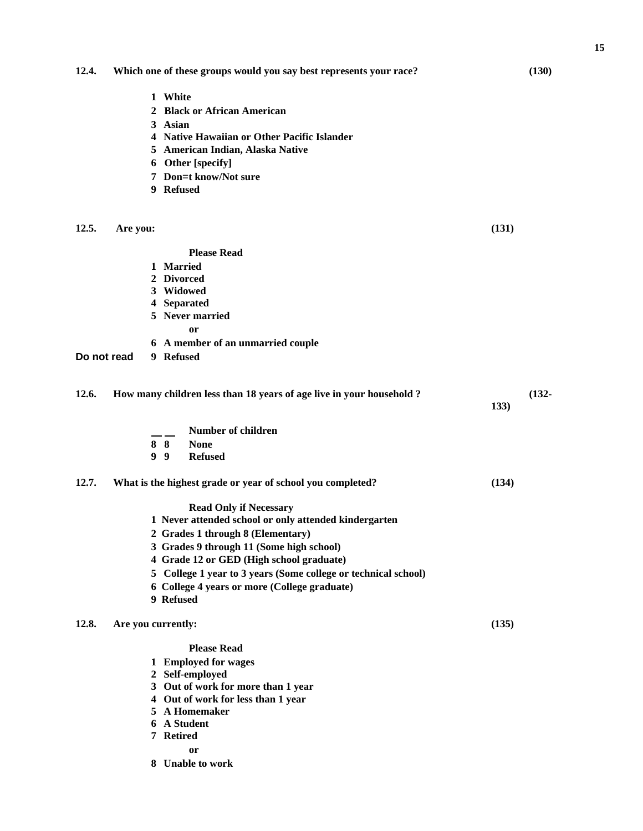**15**

| 12.4. | Which one of these groups would you say best represents your race? | (130) |
|-------|--------------------------------------------------------------------|-------|
|-------|--------------------------------------------------------------------|-------|

- **1 White**
- **2 Black or African American**
- **3 Asian**
- **4 Native Hawaiian or Other Pacific Islander**
- **5 American Indian, Alaska Native**
- **6 Other [specify]**
- **7 Don**=**t know/Not sure**
- **9 Refused**

#### **12.5. Are you: (131)**

**Please Read** 

- **1 Married**
- **2 Divorced**
- **3 Widowed**
- **4 Separated**
- **5 Never married**

**or** 

- **6 A member of an unmarried couple**
- **Do not read 9 Refused**

| 12.6. | How many children less than 18 years of age live in your household? | $(132 -$<br>133)                                               |       |  |  |
|-------|---------------------------------------------------------------------|----------------------------------------------------------------|-------|--|--|
|       |                                                                     | Number of children                                             |       |  |  |
|       | 8 8                                                                 | <b>None</b>                                                    |       |  |  |
|       | 9<br>- 9                                                            | <b>Refused</b>                                                 |       |  |  |
| 12.7. | What is the highest grade or year of school you completed?          |                                                                | (134) |  |  |
|       |                                                                     | <b>Read Only if Necessary</b>                                  |       |  |  |
|       | 1 Never attended school or only attended kindergarten               |                                                                |       |  |  |
|       |                                                                     | 2 Grades 1 through 8 (Elementary)                              |       |  |  |
|       |                                                                     | 3 Grades 9 through 11 (Some high school)                       |       |  |  |
|       |                                                                     | 4 Grade 12 or GED (High school graduate)                       |       |  |  |
|       |                                                                     | 5 College 1 year to 3 years (Some college or technical school) |       |  |  |
|       |                                                                     | 6 College 4 years or more (College graduate)                   |       |  |  |
|       | 9 Refused                                                           |                                                                |       |  |  |
| 12.8. | Are you currently:                                                  |                                                                | (135) |  |  |
|       |                                                                     | <b>Please Read</b>                                             |       |  |  |
|       |                                                                     | 1 Employed for wages                                           |       |  |  |
|       |                                                                     |                                                                |       |  |  |

- **2 Self-employed**
- **3 Out of work for more than 1 year**
- **4 Out of work for less than 1 year**
- **5 A Homemaker**
- **6 A Student**
- **7 Retired** 
	- **or**
- **8 Unable to work**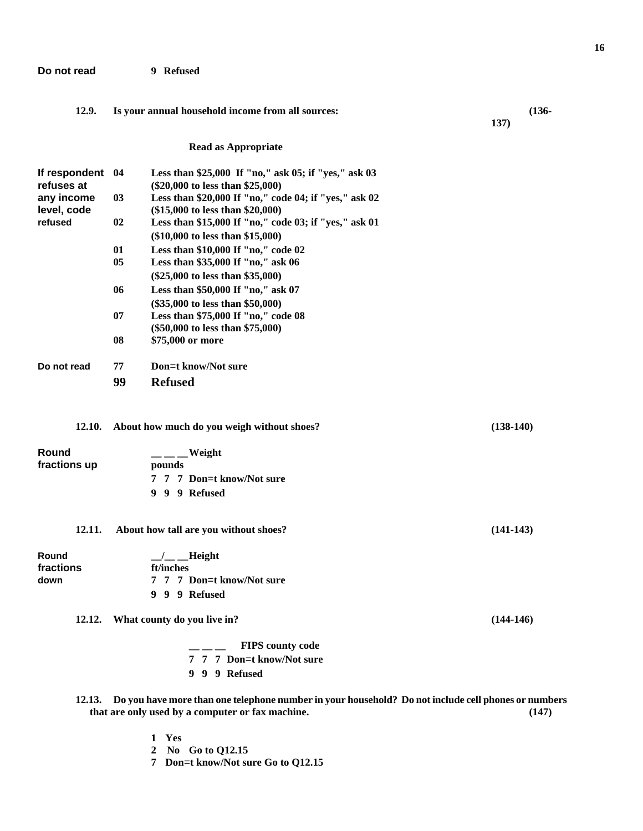#### **Do not read 9 Refused**

#### **12.9. Is your annual household income from all sources: (136-**

**137)** 

**Read as Appropriate** 

| If respondent<br>refuses at | 04 | Less than \$25,000 If "no," ask 05; if "yes," ask 03<br>$(\$20,000$ to less than $\$25,000$ )        |
|-----------------------------|----|------------------------------------------------------------------------------------------------------|
| any income<br>level, code   | 03 | Less than \$20,000 If "no," code 04; if "yes," ask 02<br>$($15,000$ to less than $$20,000$           |
| refused                     | 02 | Less than \$15,000 If "no," code 03; if "yes," ask 01<br>$(\$10,000 \text{ to less than } \$15,000)$ |
|                             | 01 | Less than $$10,000$ If "no," code $02$                                                               |
|                             | 05 | Less than \$35,000 If "no," ask 06                                                                   |
|                             |    | $(\$25,000$ to less than $\$35,000$ )                                                                |
|                             | 06 | Less than $$50,000$ If "no," ask 07                                                                  |
|                             |    | $(\$35,000$ to less than $\$50,000$                                                                  |
|                             | 07 | Less than \$75,000 If "no," code 08                                                                  |
|                             |    | (\$50,000 to less than \$75,000)                                                                     |
|                             | 08 | \$75,000 or more                                                                                     |
| Do not read                 | 77 | Don=t know/Not sure                                                                                  |
|                             | 99 | <b>Refused</b>                                                                                       |
|                             |    |                                                                                                      |

#### **12.10. About how much do you weigh without shoes? (138-140)**

| <b>Round</b> | Weight                    |
|--------------|---------------------------|
| fractions up | pounds                    |
|              | 7 7 7 Don=t know/Not sure |
|              | 9 9 9 Refused             |

### **12.11. About how tall are you without shoes? (141-143)**

| Round     | $\_\_\_\_\_\$ Height      |
|-----------|---------------------------|
| fractions | ft/inches                 |
| down      | 7 7 7 Don=t know/Not sure |
|           | 9 9 9 Refused             |

**12.12. What county do you live in? (144-146)** 

**1 Yes** 

**2 No Go to Q12.15** 

**7 Don**=**t know/Not sure Go to Q12.15** 

|  | <b>FIPS</b> county code   |
|--|---------------------------|
|  | 7 7 7 Don=t know/Not sure |
|  | 9 9 9 Refused             |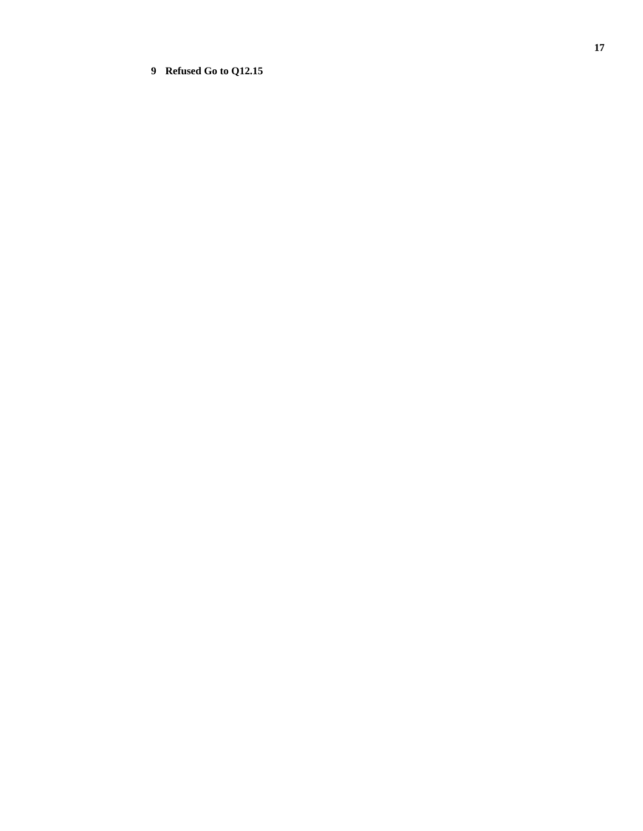# **9 Refused Go to Q12.15**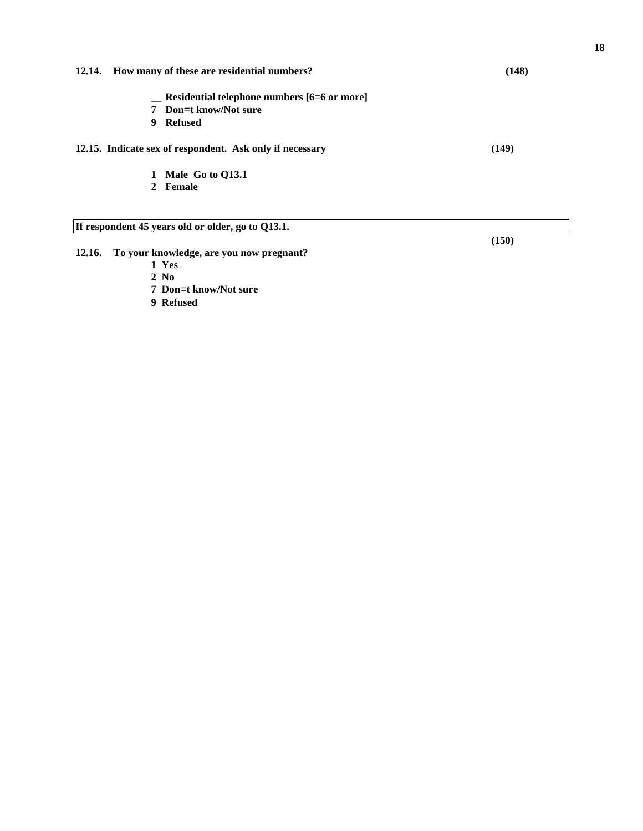| 12.14. How many of these are residential numbers?        | (148) |
|----------------------------------------------------------|-------|
| Residential telephone numbers [6=6 or more]              |       |
| 7 Don=t know/Not sure                                    |       |
| Refused<br>9.                                            |       |
| 12.15. Indicate sex of respondent. Ask only if necessary | (149) |
| 1 Male Go to 013.1                                       |       |
| 2 Female                                                 |       |

- **12.16. To your knowledge, are you now pregnant?** 
	- **1 Yes**
	- **2 No**
	- **7 Don**=**t know/Not sure**
	- **9 Refused**

**(150)**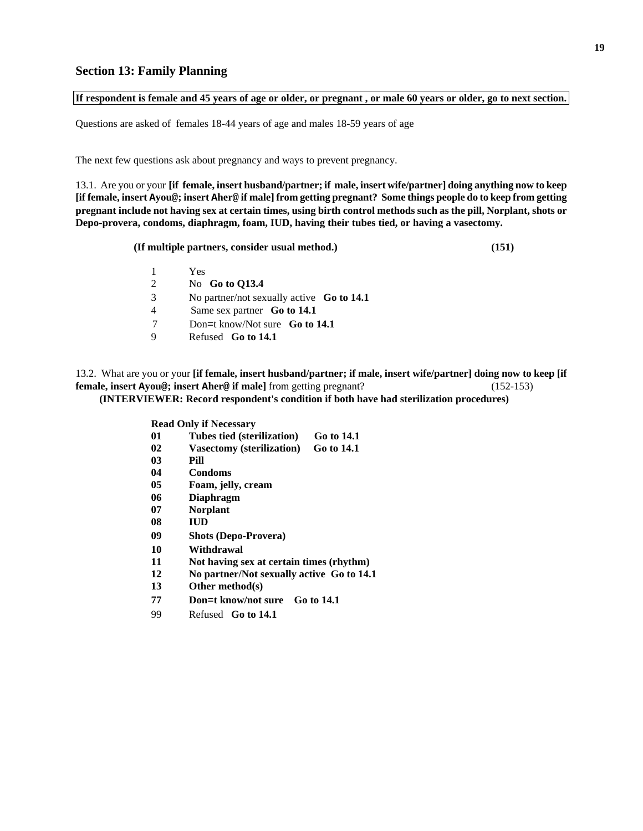### **If respondent is female and 45 years of age or older, or pregnant , or male 60 years or older, go to next section.**

Questions are asked of females 18-44 years of age and males 18-59 years of age

The next few questions ask about pregnancy and ways to prevent pregnancy.

13.1. Are you or your **[if female, insert husband/partner; if male, insert wife/partner] doing anything now to keep [if female, insert Ayou@; insert Aher@ if male] from getting pregnant? Some things people do to keep from getting pregnant include not having sex at certain times, using birth control methods such as the pill, Norplant, shots or Depo-provera, condoms, diaphragm, foam, IUD, having their tubes tied, or having a vasectomy.** 

 **(If multiple partners, consider usual method.) (151)** 

- 1 Yes
- 2 No **Go to Q13.4**
- 3 No partner/not sexually active **Go to 14.1**
- 4 Same sex partner **Go to 14.1**
- 7 Don=t know/Not sure **Go to 14.1**
- 9 Refused **Go to 14.1**

13.2. What are you or your **[if female, insert husband/partner; if male, insert wife/partner] doing now to keep [if female, insert Ayou@; insert Aher@ if male]** from getting pregnant? (152-153)  **(INTERVIEWER: Record respondent's condition if both have had sterilization procedures)** 

**Read Only if Necessary** 

- **01 Tubes tied (sterilization) Go to 14.1**
- **02 Vasectomy (sterilization) Go to 14.1**
- **03 Pill**
- **04 Condoms**
- **05 Foam, jelly, cream**
- **06 Diaphragm**
- **07 Norplant**
- **08 IUD**
- **09 Shots (Depo-Provera)**
- **10 Withdrawal**
- **11 Not having sex at certain times (rhythm)**
- **12 No partner/Not sexually active Go to 14.1**
- **13 Other method(s)**
- **77 Don**=**t know/not sure Go to 14.1**
- 99 Refused **Go to 14.1**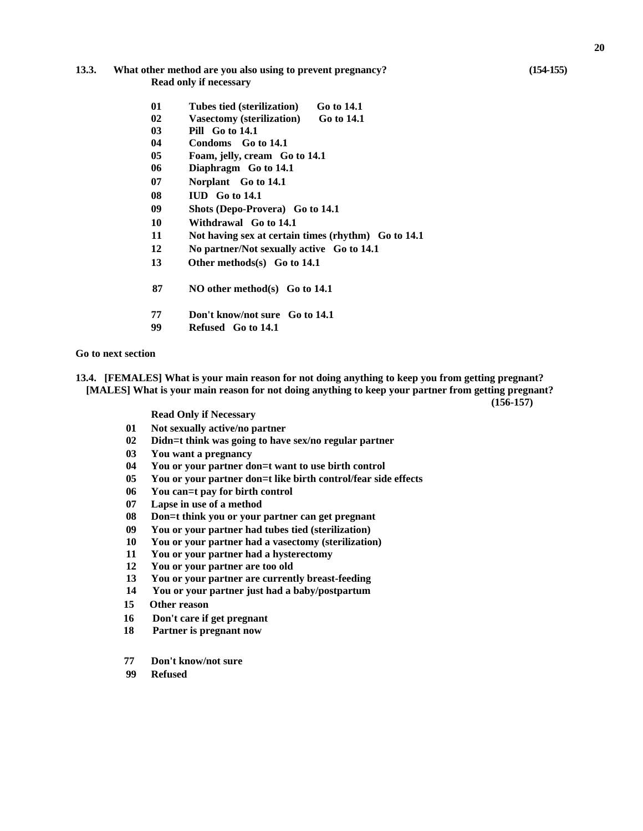#### **13.3. What other method are you also using to prevent pregnancy? (154-155) Read only if necessary**

- **01 Tubes tied (sterilization) Go to 14.1**
- **02 Vasectomy (sterilization) Go to 14.1**
- **03 Pill Go to 14.1**
- **04 Condoms Go to 14.1**
- **05 Foam, jelly, cream Go to 14.1**
- **06 Diaphragm Go to 14.1**
- **07 Norplant Go to 14.1**
- **08 IUD Go to 14.1**
- **09 Shots (Depo-Provera) Go to 14.1**
- **10 Withdrawal Go to 14.1**
- **11 Not having sex at certain times (rhythm) Go to 14.1**
- **12 No partner/Not sexually active Go to 14.1**
- **13 Other methods(s) Go to 14.1**
- **87 NO other method(s) Go to 14.1**
- **77 Don't know/not sure Go to 14.1**
- **99 Refused Go to 14.1**

**Go to next section** 

**13.4. [FEMALES] What is your main reason for not doing anything to keep you from getting pregnant? [MALES] What is your main reason for not doing anything to keep your partner from getting pregnant?** 

**(156-157)** 

**Read Only if Necessary** 

- **01 Not sexually active/no partner**
- **02 Didn**=**t think was going to have sex/no regular partner**
- **03 You want a pregnancy**
- **04 You or your partner don**=**t want to use birth control**
- **05 You or your partner don**=**t like birth control/fear side effects**
- **06 You can**=**t pay for birth control**
- **07 Lapse in use of a method**
- **08 Don**=**t think you or your partner can get pregnant**
- **09 You or your partner had tubes tied (sterilization)**
- **10 You or your partner had a vasectomy (sterilization)**
- **11 You or your partner had a hysterectomy**
- **12 You or your partner are too old**
- **13 You or your partner are currently breast-feeding**
- **14 You or your partner just had a baby/postpartum**
- **15 Other reason**
- **16 Don't care if get pregnant**
- **18 Partner is pregnant now**
- **77 Don't know/not sure**
- **99 Refused**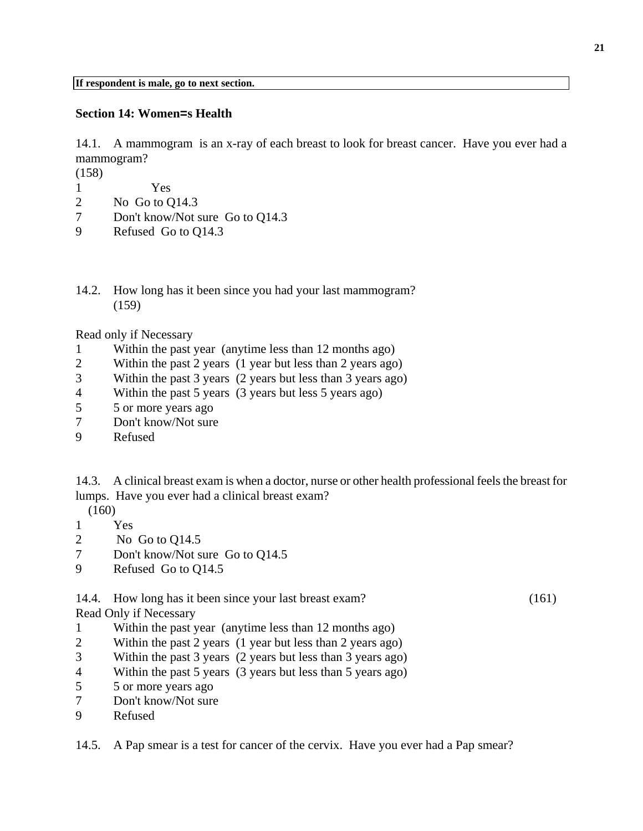### **Section 14: Women=s Health**

14.1. A mammogram is an x-ray of each breast to look for breast cancer. Have you ever had a mammogram?

(158)

- 1 Yes
- 2 No Go to Q14.3
- 7 Don't know/Not sure Go to Q14.3
- 9 Refused Go to Q14.3
- 14.2. How long has it been since you had your last mammogram? (159)

Read only if Necessary

- 1 Within the past year (anytime less than 12 months ago)
- 2 Within the past 2 years (1 year but less than 2 years ago)
- 3 Within the past 3 years (2 years but less than 3 years ago)
- 4 Within the past 5 years (3 years but less 5 years ago)
- 5 5 or more years ago
- 7 Don't know/Not sure
- 9 Refused

14.3. A clinical breast exam is when a doctor, nurse or other health professional feels the breast for lumps. Have you ever had a clinical breast exam?

(160)

- 1 Yes
- 2 No Go to Q14.5
- 7 Don't know/Not sure Go to Q14.5
- 9 Refused Go to Q14.5

14.4. How long has it been since your last breast exam? (161)

Read Only if Necessary

- 1 Within the past year (anytime less than 12 months ago)
- 2 Within the past 2 years (1 year but less than 2 years ago)
- 3 Within the past 3 years (2 years but less than 3 years ago)
- 4 Within the past 5 years (3 years but less than 5 years ago)
- 5 5 or more years ago
- 7 Don't know/Not sure
- 9 Refused

14.5. A Pap smear is a test for cancer of the cervix. Have you ever had a Pap smear?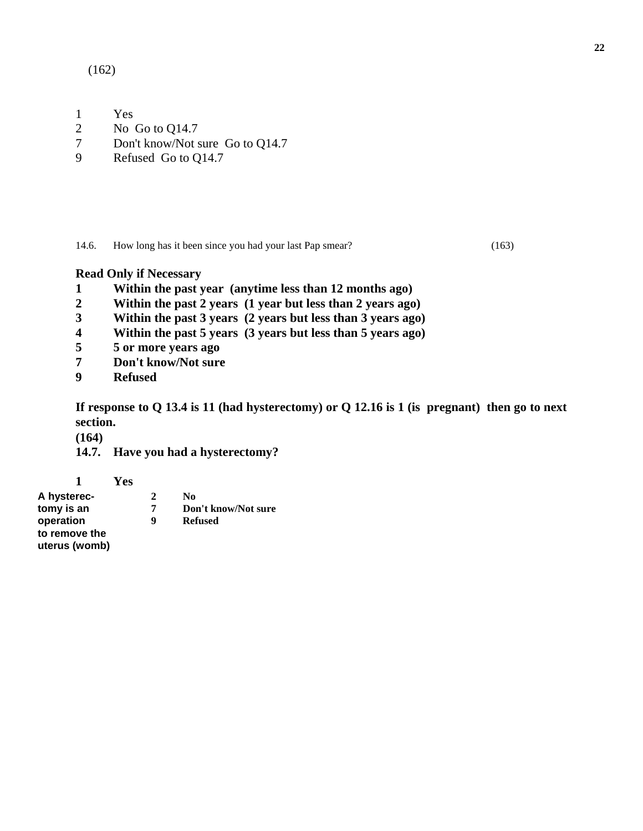(162)

- 1 Yes
- 2 No Go to Q14.7
- 7 Don't know/Not sure Go to Q14.7
- 9 Refused Go to Q14.7

14.6. How long has it been since you had your last Pap smear? (163)

# **Read Only if Necessary**

- **1 Within the past year (anytime less than 12 months ago)**
- **2 Within the past 2 years (1 year but less than 2 years ago)**
- **3 Within the past 3 years (2 years but less than 3 years ago)**
- **4 Within the past 5 years (3 years but less than 5 years ago)**
- **5 5 or more years ago**
- **7 Don't know/Not sure**
- **9 Refused**

**If response to Q 13.4 is 11 (had hysterectomy) or Q 12.16 is 1 (is pregnant) then go to next section.**

**(164)** 

**14.7. Have you had a hysterectomy?** 

**1 Yes** 

**A hysterec- 2 No Don't know/Not sure operation 9 Refused to remove the uterus (womb)**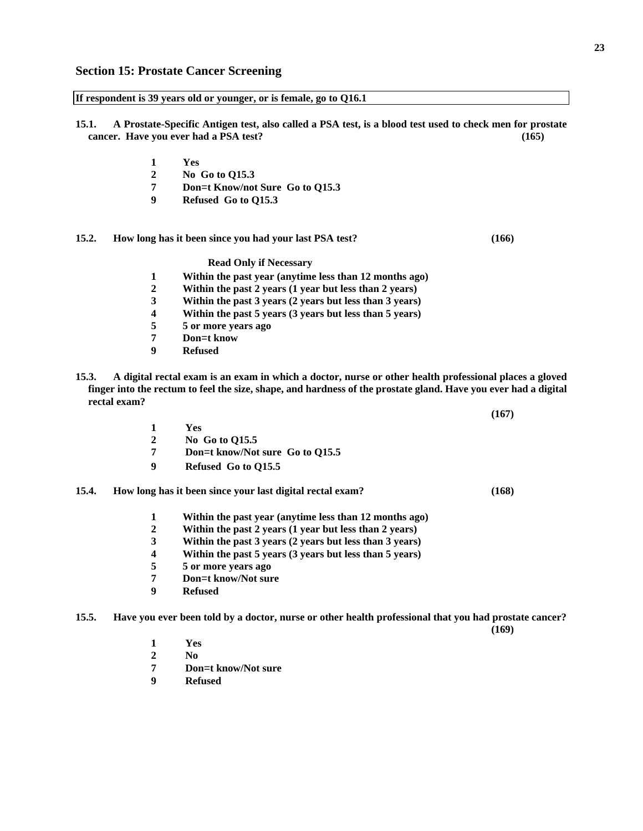**15.1. A Prostate-Specific Antigen test, also called a PSA test, is a blood test used to check men for prostate cancer. Have you ever had a PSA test? (165)** 

- **1 Yes**
- **2 No Go to Q15.3**
- **7 Don**=**t Know/not Sure Go to Q15.3**
- **9 Refused Go to Q15.3**

**If respondent is 39 years old or younger, or is female, go to Q16.1** 

**15.2. How long has it been since you had your last PSA test? (166)** 

**Read Only if Necessary** 

- **1 Within the past year (anytime less than 12 months ago)**
- 2 Within the past 2 years (1 year but less than 2 years)<br>3 Within the past 3 years (2 years but less than 3 years)
- **3 Within the past 3 years (2 years but less than 3 years)**
- **4 Within the past 5 years (3 years but less than 5 years)**
- **5 5 or more years ago**
- **7 Don**=**t know**
- **9 Refused**
- **15.3. A digital rectal exam is an exam in which a doctor, nurse or other health professional places a gloved finger into the rectum to feel the size, shape, and hardness of the prostate gland. Have you ever had a digital rectal exam?**

**1 Yes 2 No Go to Q15.5** 

- **7 Don**=**t know/Not sure Go to Q15.5**
- **9 Refused Go to Q15.5**

#### **15.4. How long has it been since your last digital rectal exam? (168)**

- **1 Within the past year (anytime less than 12 months ago)**
- **2 Within the past 2 years (1 year but less than 2 years)**
- **3 Within the past 3 years (2 years but less than 3 years)**
- **4 Within the past 5 years (3 years but less than 5 years)**
- **5 5 or more years ago**
- **7 Don**=**t know/Not sure**
- **9 Refused**

**15.5. Have you ever been told by a doctor, nurse or other health professional that you had prostate cancer?** 

**(169)** 

- **1 Yes**
- **2 No**
- **7 Don**=**t know/Not sure**
- **9 Refused**

**(167)**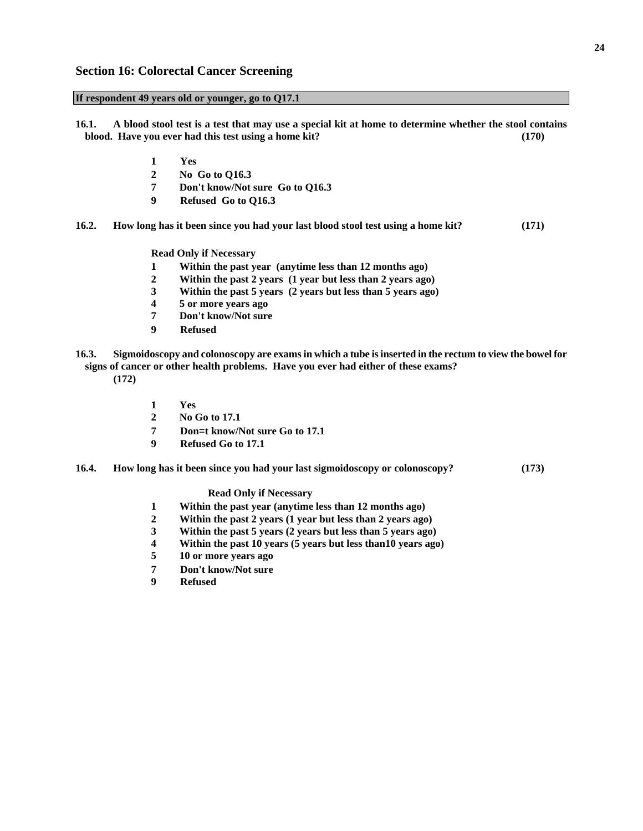#### **If respondent 49 years old or younger, go to Q17.1**

**16.1. A blood stool test is a test that may use a special kit at home to determine whether the stool contains blood. Have you ever had this test using a home kit? (170)** 

- **1 Yes**
- **2 No Go to Q16.3**
- **7 Don't know/Not sure Go to Q16.3**
- **9 Refused Go to Q16.3**
- **16.2. How long has it been since you had your last blood stool test using a home kit? (171)**

**Read Only if Necessary** 

- **1 Within the past year (anytime less than 12 months ago)**
- **2 Within the past 2 years (1 year but less than 2 years ago)**
- **3 Within the past 5 years (2 years but less than 5 years ago)**
- **4 5 or more years ago**
- **7 Don't know/Not sure**
- **9 Refused**
- **16.3. Sigmoidoscopy and colonoscopy are exams in which a tube is inserted in the rectum to view the bowel for signs of cancer or other health problems. Have you ever had either of these exams? (172)** 
	- **1 Yes**
	- **2 No Go to 17.1**
	- **7 Don**=**t know/Not sure Go to 17.1**
	- **9 Refused Go to 17.1**
- **16.4. How long has it been since you had your last sigmoidoscopy or colonoscopy? (173)**

**Read Only if Necessary** 

- **1 Within the past year (anytime less than 12 months ago)**
- **2 Within the past 2 years (1 year but less than 2 years ago)**
- **3 Within the past 5 years (2 years but less than 5 years ago)**
- **4 Within the past 10 years (5 years but less than10 years ago)**
- **5 10 or more years ago**
- **7 Don't know/Not sure**
- **9 Refused**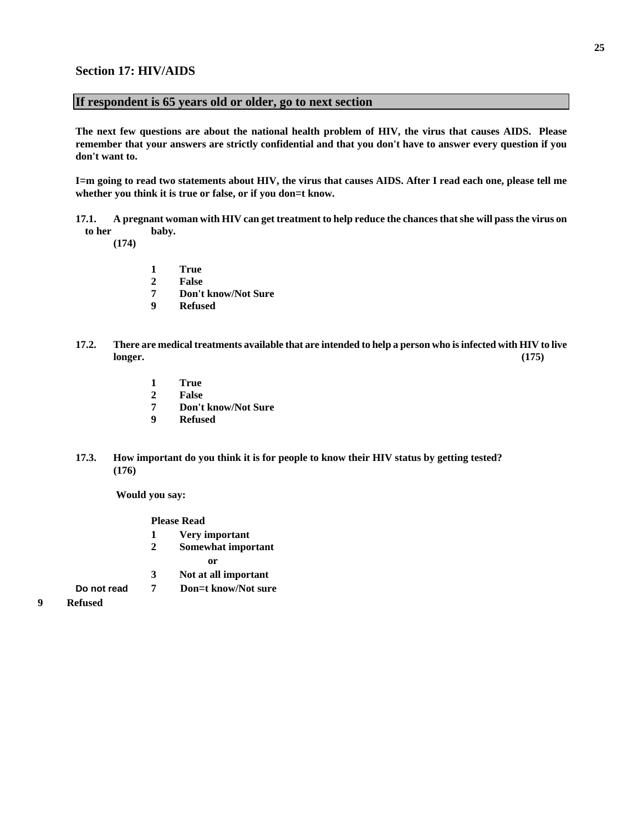### **Section 17: HIV/AIDS**

#### **If respondent is 65 years old or older, go to next section**

**The next few questions are about the national health problem of HIV, the virus that causes AIDS. Please remember that your answers are strictly confidential and that you don't have to answer every question if you don't want to.** 

**I**=**m going to read two statements about HIV, the virus that causes AIDS. After I read each one, please tell me whether you think it is true or false, or if you don**=**t know.** 

**17.1. A pregnant woman with HIV can get treatment to help reduce the chances that she will pass the virus on to her baby.** 

 **(174)** 

- **1 True**
- **2 False**
- **7 Don't know/Not Sure**
- **9 Refused**
- **17.2. There are medical treatments available that are intended to help a person who is infected with HIV to live longer.** (175)
	- **1 True**
	- **2 False**
	- **7 Don't know/Not Sure**
	- **9 Refused**
- **17.3. How important do you think it is for people to know their HIV status by getting tested? (176)**

 **Would you say:** 

**Please Read** 

- **1 Very important**
- **2 Somewhat important** 
	-
- **or 3 Not at all important**
- **Do not read 7 Don**=**t know/Not sure**
- **9 Refused**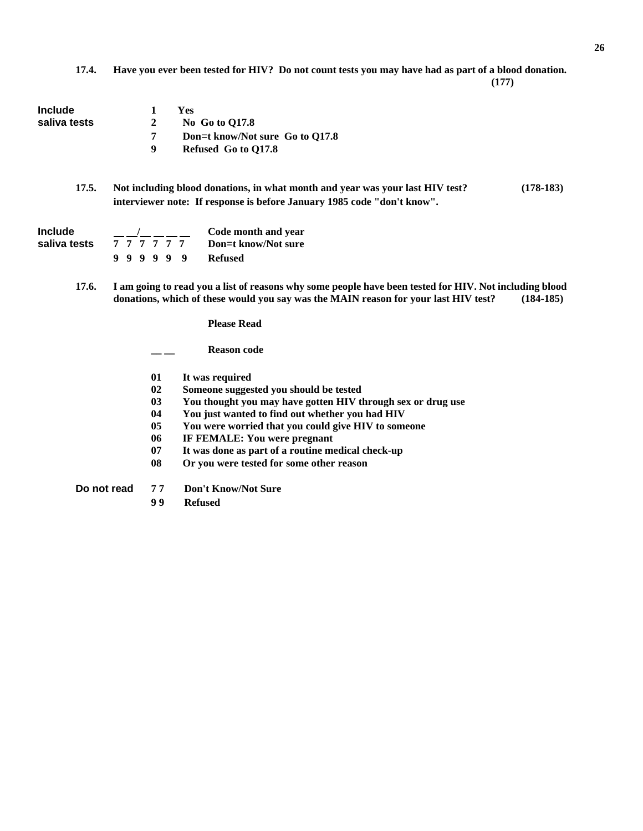**17.4. Have you ever been tested for HIV? Do not count tests you may have had as part of a blood donation.**

 **(177)** 

| <b>Include</b><br>saliva tests | <b>Yes</b><br>1<br>$\boldsymbol{2}$<br>No Go to Q17.8<br>Don=t know/Not sure Go to Q17.8<br>7<br>9<br>Refused Go to Q17.8                                                                                                                                                                                                                                                     |
|--------------------------------|-------------------------------------------------------------------------------------------------------------------------------------------------------------------------------------------------------------------------------------------------------------------------------------------------------------------------------------------------------------------------------|
| 17.5.                          | Not including blood donations, in what month and year was your last HIV test?<br>$(178-183)$<br>interviewer note: If response is before January 1985 code "don't know".                                                                                                                                                                                                       |
| <b>Include</b><br>saliva tests | $\frac{1}{2}$ _ _ _ _ _ Code month and year<br>$\frac{1}{7}$ $\frac{1}{7}$ $\frac{1}{7}$ $\frac{1}{7}$ $\frac{1}{7}$<br>Don=t know/Not sure<br>999999<br><b>Refused</b>                                                                                                                                                                                                       |
| 17.6.                          | I am going to read you a list of reasons why some people have been tested for HIV. Not including blood<br>donations, which of these would you say was the MAIN reason for your last HIV test?<br>$(184-185)$                                                                                                                                                                  |
|                                | <b>Please Read</b>                                                                                                                                                                                                                                                                                                                                                            |
|                                | <b>Reason code</b>                                                                                                                                                                                                                                                                                                                                                            |
|                                | It was required<br>01<br>02<br>Someone suggested you should be tested<br>You thought you may have gotten HIV through sex or drug use<br>0 <sub>3</sub><br>04<br>You just wanted to find out whether you had HIV<br>05<br>You were worried that you could give HIV to someone<br>IF FEMALE: You were pregnant<br>06<br>It was done as part of a routine medical check-up<br>07 |

**08 Or you were tested for some other reason** 

**Do not read 7 7 Don't Know/Not Sure** 

**9 9 Refused**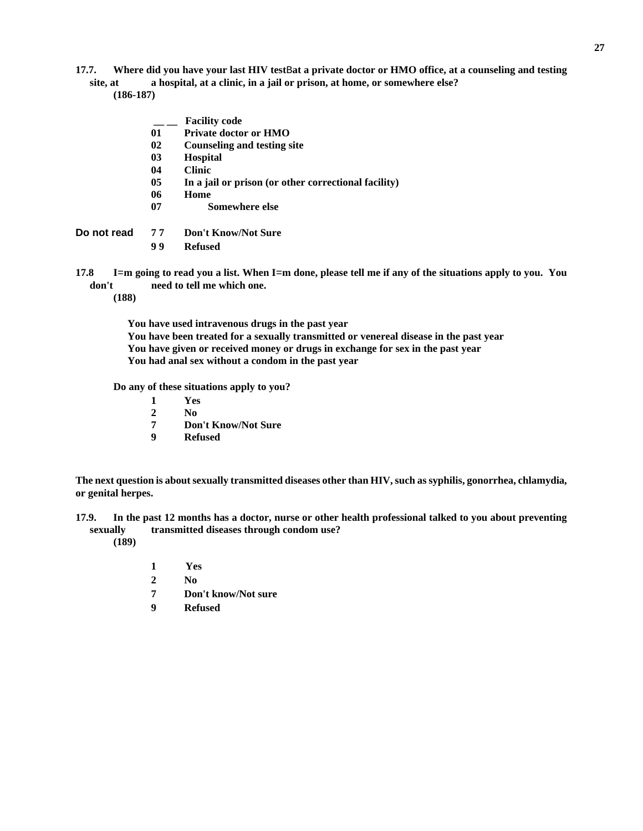### **17.7. Where did you have your last HIV test**B**at a private doctor or HMO office, at a counseling and testing site, at a hospital, at a clinic, in a jail or prison, at home, or somewhere else?**

 **(186-187)** 

| 03 | <b>Hospital</b>                                                   |
|----|-------------------------------------------------------------------|
| 04 | <b>Clinic</b>                                                     |
| 05 | In a jail or prison (or other correctional facility)              |
| 06 | Home                                                              |
| 07 | Somewhere else                                                    |
| 77 | <b>Don't Know/Not Sure</b>                                        |
| 99 | <b>Refused</b>                                                    |
|    | I=m going to read you a list. When I=m done, please tell me if an |
|    | Do not read                                                       |

**17.8 I**=**m going to read you a list. When I**=**m done, please tell me if any of the situations apply to you. You don't need to tell me which one.** 

 **(188)** 

**You have used intravenous drugs in the past year You have been treated for a sexually transmitted or venereal disease in the past year You have given or received money or drugs in exchange for sex in the past year You had anal sex without a condom in the past year** 

**Do any of these situations apply to you?** 

 **\_\_ \_\_ Facility code** 

**01 Private doctor or HMO** 

**02 Counseling and testing site** 

- **1 Yes**
- **2 No**
- **7 Don't Know/Not Sure**
- **9 Refused**

**The next question is about sexually transmitted diseases other than HIV, such as syphilis, gonorrhea, chlamydia, or genital herpes.** 

- **17.9. In the past 12 months has a doctor, nurse or other health professional talked to you about preventing sexually transmitted diseases through condom use? (189)** 
	- **1 Yes**
	- **2 No**
	- **7 Don't know/Not sure**
	- **9 Refused**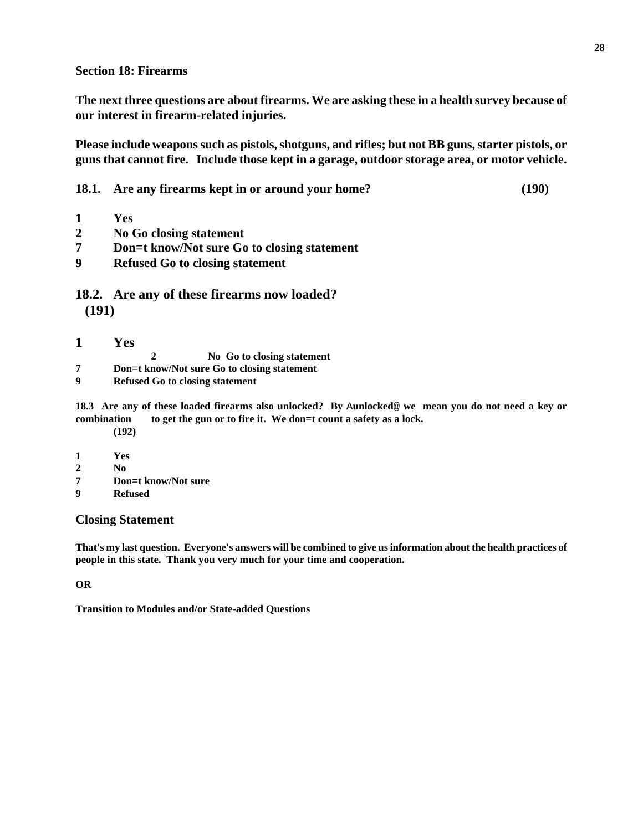**Section 18: Firearms** 

**The next three questions are about firearms. We are asking these in a health survey because of our interest in firearm-related injuries.** 

**Please include weapons such as pistols, shotguns, and rifles; but not BB guns, starter pistols, or guns that cannot fire. Include those kept in a garage, outdoor storage area, or motor vehicle.** 

**18.1. Are any firearms kept in or around your home? (190)** 

- **1 Yes**
- **2 No Go closing statement**
- **7 Don**=**t know/Not sure Go to closing statement**
- **9 Refused Go to closing statement**

**18.2. Are any of these firearms now loaded? (191)** 

- **1 Yes**
- **2 No Go to closing statement**
- **7 Don**=**t know/Not sure Go to closing statement**
- **9 Refused Go to closing statement**

**18.3 Are any of these loaded firearms also unlocked? By** A**unlocked**@ **we mean you do not need a key or combination to get the gun or to fire it. We don**=**t count a safety as a lock. (192)** 

- **1 Yes**
- **2 No**
- **7 Don**=**t know/Not sure**
- **9 Refused**

# **Closing Statement**

**That's my last question. Everyone's answers will be combined to give us information about the health practices of people in this state. Thank you very much for your time and cooperation.** 

### **OR**

**Transition to Modules and/or State-added Questions**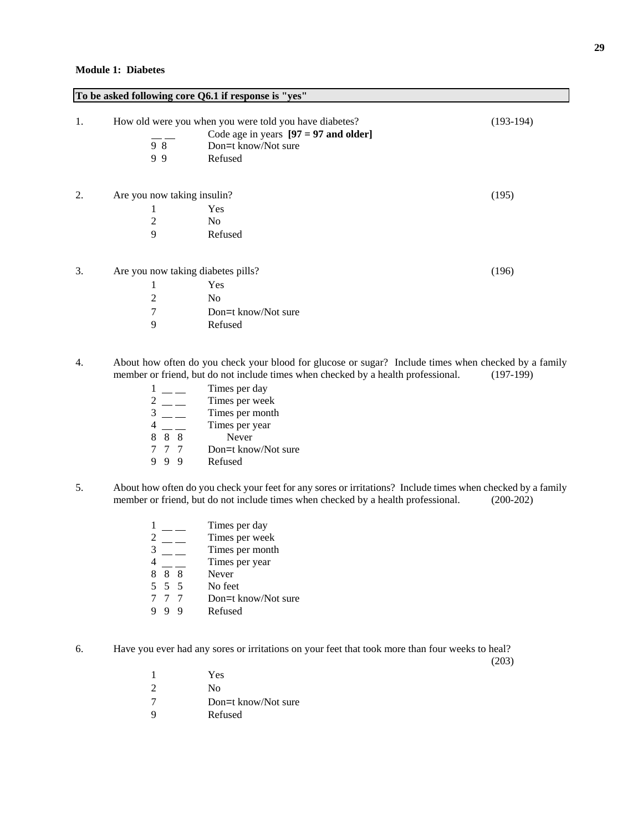#### **To be asked following core Q6.1 if response is "yes"**

| 1. | 98<br>99                                               | How old were you when you were told you have diabetes?<br>Code age in years $[97 = 97$ and older]<br>Don=t know/Not sure<br>Refused | (193-194) |
|----|--------------------------------------------------------|-------------------------------------------------------------------------------------------------------------------------------------|-----------|
| 2. | Are you now taking insulin?<br>1<br>2<br>9             | Yes<br>N <sub>0</sub><br>Refused                                                                                                    | (195)     |
| 3. | Are you now taking diabetes pills?<br>1<br>2<br>7<br>9 | Yes<br>N <sub>0</sub><br>Don=t know/Not sure<br>Refused                                                                             | (196)     |

- 4. About how often do you check your blood for glucose or sugar? Include times when checked by a family member or friend, but do not include times when checked by a health professional. (197-199)
	- $\frac{1}{2}$  Times per day<br>Times per weel 2 Times per week Times per month 4 Times per year  $\frac{4}{8}$   $\frac{1}{8}$  Times per y<br>  $\frac{8}{7}$   $\frac{8}{7}$  Don=t know 7 7 7 Don=t know/Not sure<br>9 9 9 Refused **Refused**
- 5. About how often do you check your feet for any sores or irritations? Include times when checked by a family member or friend, but do not include times when checked by a health professional. (200-202)

|   |       | Times per day       |
|---|-------|---------------------|
|   |       | Times per week      |
| 3 |       | Times per month     |
|   |       | Times per year      |
|   | 88    | Never               |
|   | 5 5 5 | No feet             |
|   | 77    | Don=t know/Not sure |
|   |       | Refused             |

6. Have you ever had any sores or irritations on your feet that took more than four weeks to heal?

(203)

1 Yes 2 No 7 Don=t know/Not sure 9 Refused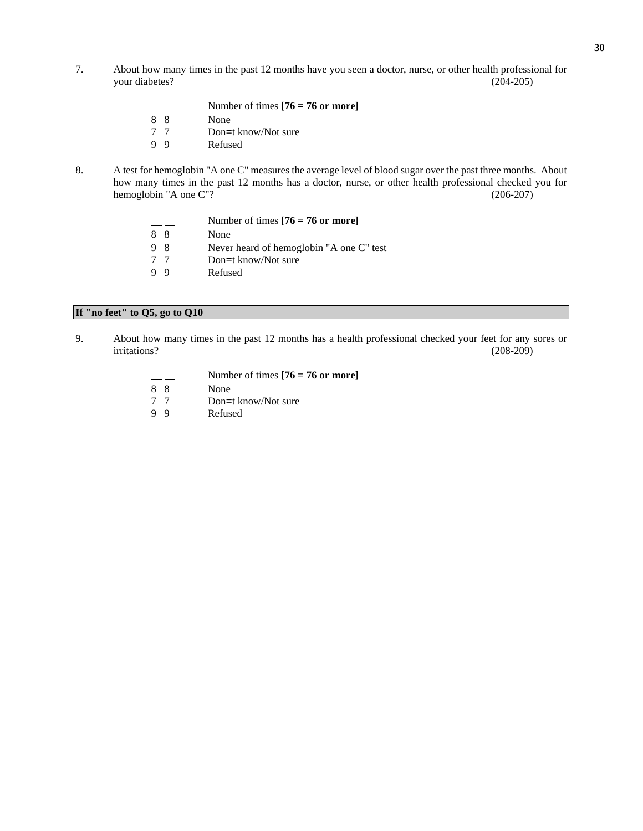7. About how many times in the past 12 months have you seen a doctor, nurse, or other health professional for your diabetes? (204-205)

|    | Number of times $[76 = 76$ or more] |
|----|-------------------------------------|
| 88 | None                                |
| 77 | Don=t know/Not sure                 |
| 99 | Refused                             |

8. A test for hemoglobin "A one C" measures the average level of blood sugar over the past three months. About how many times in the past 12 months has a doctor, nurse, or other health professional checked you for hemoglobin "A one C"? (206-207)

|    | Number of times $[76 = 76$ or more]      |
|----|------------------------------------------|
| 88 | None                                     |
| 98 | Never heard of hemoglobin "A one C" test |
| 77 | Don=t know/Not sure                      |
| 99 | Refused                                  |

# **If "no feet" to Q5, go to Q10**

9. About how many times in the past 12 months has a health professional checked your feet for any sores or irritations? (208-209)

|    | Number of times $[76 = 76$ or more] |
|----|-------------------------------------|
| 88 | None                                |
| 77 | Don=t know/Not sure                 |
| 99 | Refused                             |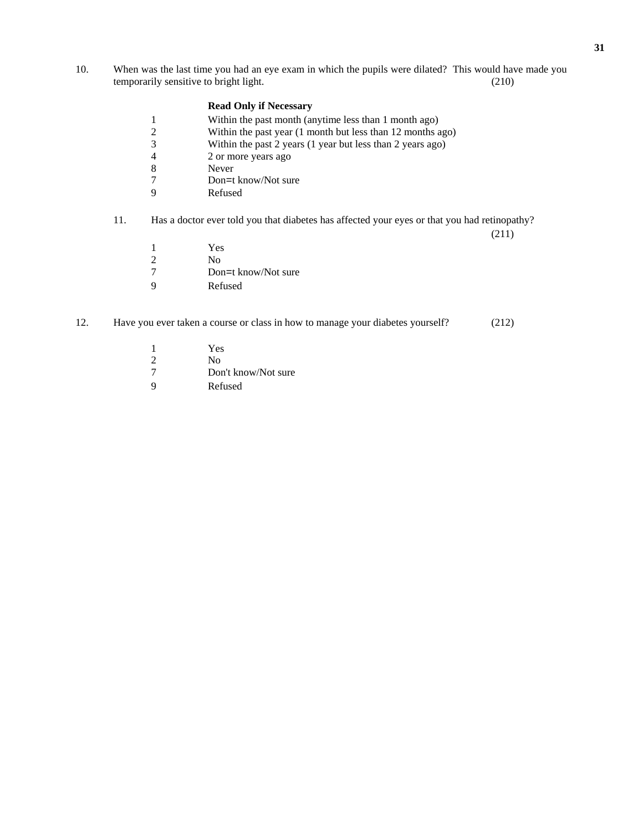10. When was the last time you had an eye exam in which the pupils were dilated? This would have made you temporarily sensitive to bright light. (210)

#### **Read Only if Necessary**

- 1 Within the past month (anytime less than 1 month ago)<br>
2 Within the past year (1 month but less than 12 months a
- 2 Within the past year (1 month but less than 12 months ago)<br>3 Within the past 2 years (1 year but less than 2 years ago)
- Within the past 2 years (1 year but less than 2 years ago)
- 4 2 or more years ago<br>8 Never
- Never
- 7 Don=t know/Not sure<br>9 Refused
- **Refused**

# 11. Has a doctor ever told you that diabetes has affected your eyes or that you had retinopathy?

(211)

- 1 Yes<br>2 No
- 2 No<br>7 Dor
- Don=t know/Not sure
- 9 Refused

#### 12. Have you ever taken a course or class in how to manage your diabetes yourself? (212)

- 1 Yes<br>2 No
- 2 No<br>7 Dor
- Don't know/Not sure
- 9 Refused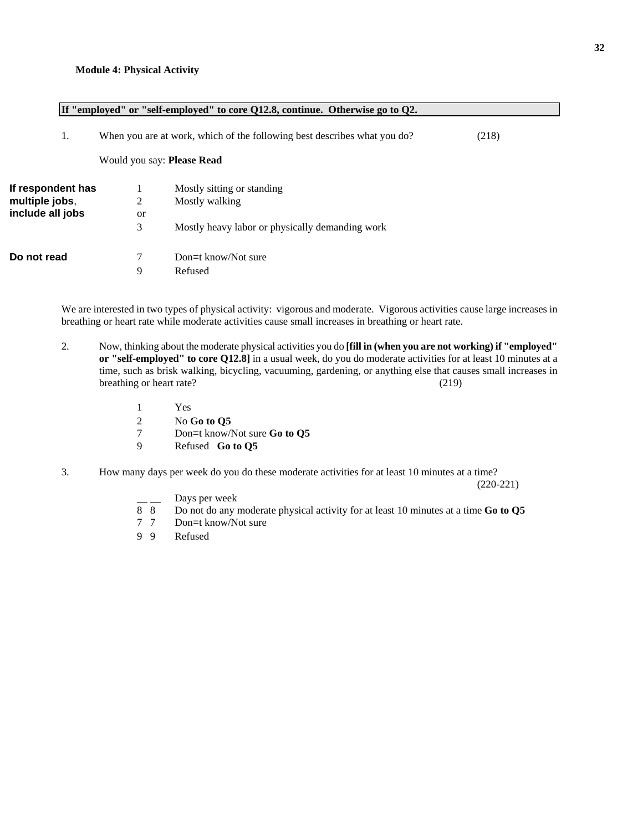|                   |           | If "employed" or "self-employed" to core Q12.8, continue. Otherwise go to Q2. |       |
|-------------------|-----------|-------------------------------------------------------------------------------|-------|
| 1.                |           | When you are at work, which of the following best describes what you do?      | (218) |
|                   |           | Would you say: <b>Please Read</b>                                             |       |
| If respondent has |           | Mostly sitting or standing                                                    |       |
| multiple jobs,    | 2         | Mostly walking                                                                |       |
| include all jobs  | <b>or</b> |                                                                               |       |
|                   | 3         | Mostly heavy labor or physically demanding work                               |       |
| Do not read       | 7         | Don=t know/Not sure                                                           |       |
|                   | 9         | Refused                                                                       |       |
|                   |           |                                                                               |       |

We are interested in two types of physical activity: vigorous and moderate. Vigorous activities cause large increases in breathing or heart rate while moderate activities cause small increases in breathing or heart rate.

- 2. Now, thinking about the moderate physical activities you do **[fill in (when you are not working) if "employed" or "self-employed" to core Q12.8]** in a usual week, do you do moderate activities for at least 10 minutes at a time, such as brisk walking, bicycling, vacuuming, gardening, or anything else that causes small increases in breathing or heart rate? (219)
	- 1 Yes
	- 2 No **Go to Q5**<br>7 Don=t know/
	- 7 Don=t know/Not sure **Go to Q5**
	- 9 Refused **Go to Q5**
- 3. How many days per week do you do these moderate activities for at least 10 minutes at a time?

(220-221)

- Days per week
- 8 8 Do not do any moderate physical activity for at least 10 minutes at a time **Go to Q5**
- Don=t know/Not sure
- 9 9 Refused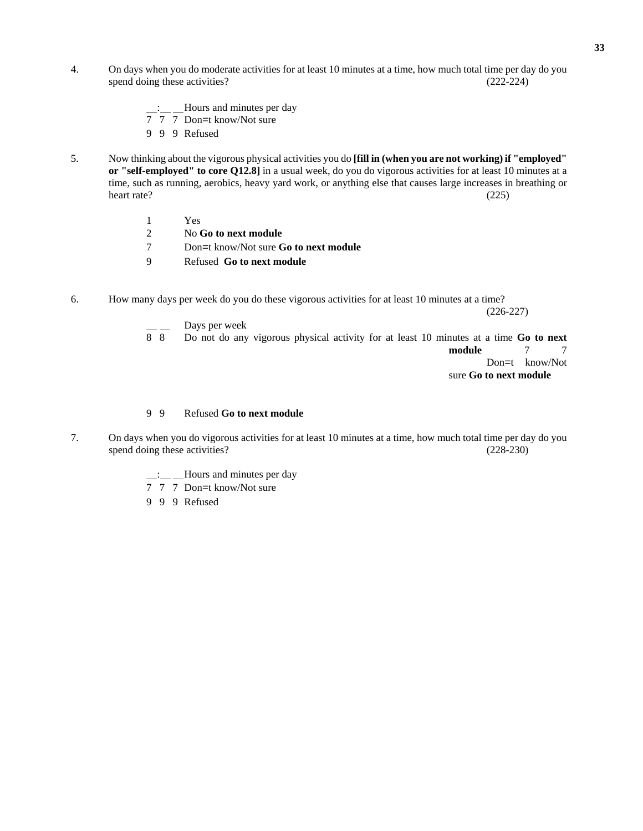- 4. On days when you do moderate activities for at least 10 minutes at a time, how much total time per day do you spend doing these activities? (222-224)
	- : Hours and minutes per day
	- $\frac{2}{7}$   $\frac{2}{7}$  Don=t know/Not sure
	- 9 9 9 Refused
- 5. Now thinking about the vigorous physical activities you do **[fill in (when you are not working) if "employed" or "self-employed" to core Q12.8]** in a usual week, do you do vigorous activities for at least 10 minutes at a time, such as running, aerobics, heavy yard work, or anything else that causes large increases in breathing or heart rate? (225)
	- 1 Yes
	- 2 No **Go to next module**
	- 7 Don=t know/Not sure **Go to next module**
	- 9 Refused **Go to next module**
- 6. How many days per week do you do these vigorous activities for at least 10 minutes at a time?

 $(226-227)$ 

 $\frac{1}{8}$  Days per week<br>Bo not do any 8 8 Do not do any vigorous physical activity for at least 10 minutes at a time **Go to next module** 7 7 Don=t know/Not sure **Go to next module**

#### 9 9 Refused **Go to next module**

- 7. On days when you do vigorous activities for at least 10 minutes at a time, how much total time per day do you spend doing these activities? (228-230)
	- : Hours and minutes per day
	- 7 7 7 Don=t know/Not sure
	- 9 9 9 Refused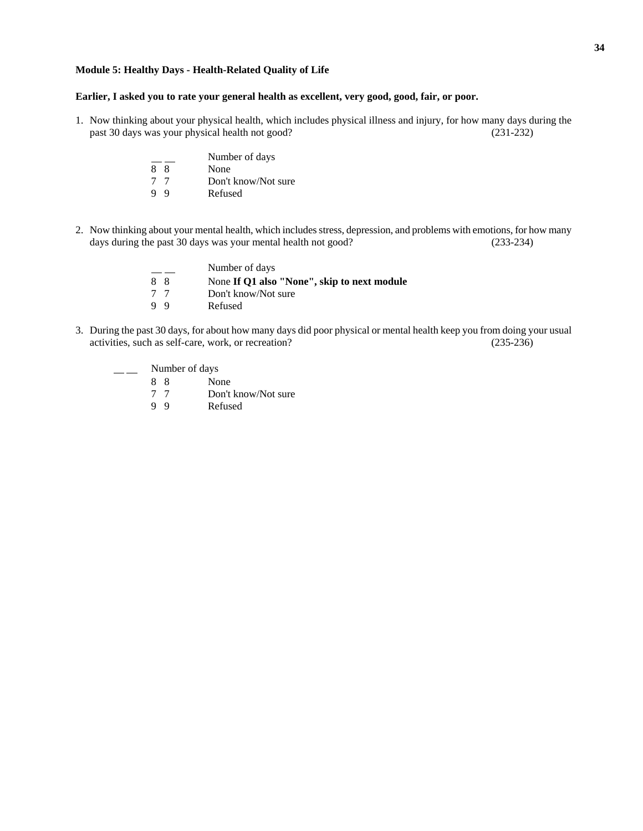#### **Module 5: Healthy Days - Health-Related Quality of Life**

#### **Earlier, I asked you to rate your general health as excellent, very good, good, fair, or poor.**

- 1. Now thinking about your physical health, which includes physical illness and injury, for how many days during the past 30 days was your physical health not good? (231-232)
	- $\frac{1}{8}$  Number of days<br>None 8 8 None<br>
	7 7 Don't 7 7 Don't know/Not sure<br>9 9 Refused **Refused**
- 2. Now thinking about your mental health, which includes stress, depression, and problems with emotions, for how many days during the past 30 days was your mental health not good? (233-234)

|     | Number of days                              |
|-----|---------------------------------------------|
| 88  | None If Q1 also "None", skip to next module |
| 7 7 | Don't know/Not sure                         |
| 99  | Refused                                     |

3. During the past 30 days, for about how many days did poor physical or mental health keep you from doing your usual activities, such as self-care, work, or recreation? (235-236)

\_\_ Number of days 8 8 None 7 7 Don't know/Not sure Refused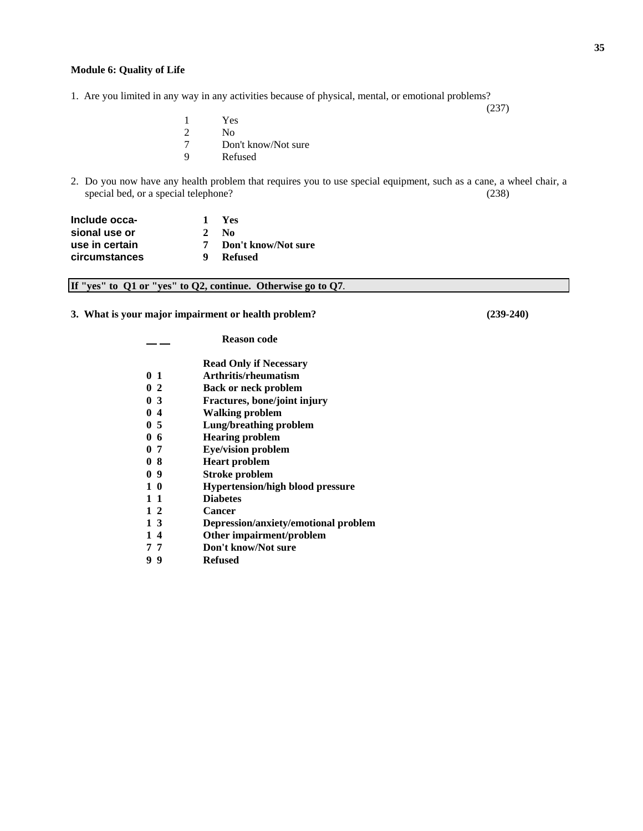#### **Module 6: Quality of Life**

1. Are you limited in any way in any activities because of physical, mental, or emotional problems?

1 Yes<br>
2 No<br>
7 Don No. 7 Don't know/Not sure<br>9 Refused **Refused** 

2. Do you now have any health problem that requires you to use special equipment, such as a cane, a wheel chair, a special bed, or a special telephone? (238)

| Include occa-  |               | - Yes                 |
|----------------|---------------|-----------------------|
| sional use or  | $\mathcal{L}$ | - No                  |
| use in certain |               | 7 Don't know/Not sure |
| circumstances  |               | Refused               |

| If "yes" to $Q1$ or "yes" to $Q2$ , continue. Otherwise go to $Q7$ . |  |  |  |  |  |  |  |  |  |
|----------------------------------------------------------------------|--|--|--|--|--|--|--|--|--|
|----------------------------------------------------------------------|--|--|--|--|--|--|--|--|--|

**3. What is your major impairment or health problem? (239-240)** 

|          | <b>Reason code</b>                      |
|----------|-----------------------------------------|
|          | <b>Read Only if Necessary</b>           |
| 01       | Arthritis/rheumatism                    |
| 02       | <b>Back or neck problem</b>             |
| $0\,3$   | Fractures, bone/joint injury            |
| 04       | <b>Walking problem</b>                  |
| 05       | Lung/breathing problem                  |
| 06       | <b>Hearing problem</b>                  |
| 07       | <b>Eye/vision problem</b>               |
| 08       | <b>Heart problem</b>                    |
| 09       | <b>Stroke problem</b>                   |
| 10       | <b>Hypertension/high blood pressure</b> |
| $1 \; 1$ | <b>Diabetes</b>                         |
| $1\,2$   | Cancer                                  |
| 13       | Depression/anxiety/emotional problem    |
| 14       | Other impairment/problem                |
| 77       | Don't know/Not sure                     |
|          |                                         |

**9 9 Refused** 

(237)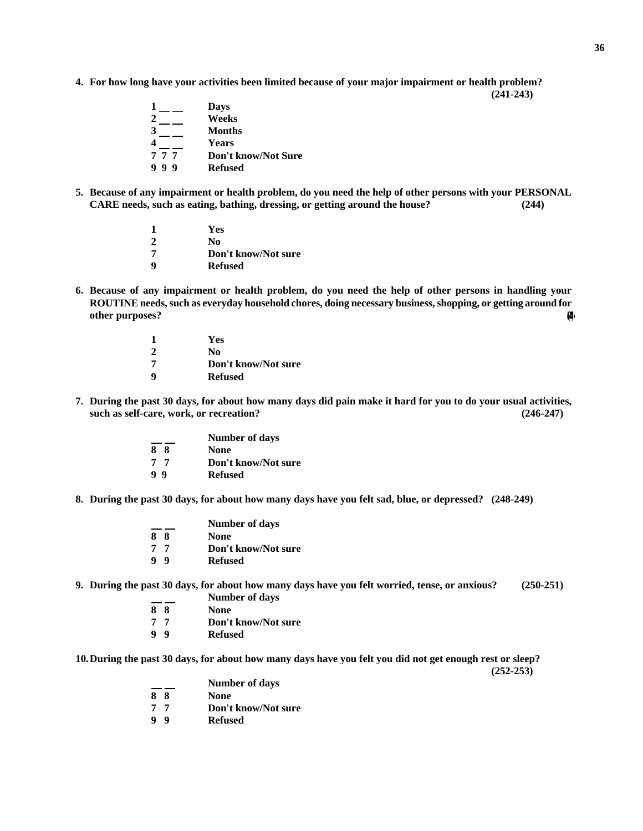**4. For how long have your activities been limited because of your major impairment or health problem? (241-243)** 

|     | Days                       |
|-----|----------------------------|
|     | Weeks                      |
| 3   | Months                     |
|     | <b>Years</b>               |
| 777 | <b>Don't know/Not Sure</b> |
| 999 | <b>Refused</b>             |

**5. Because of any impairment or health problem, do you need the help of other persons with your PERSONAL CARE needs, such as eating, bathing, dressing, or getting around the house? (244)** 

|   | Yes                 |
|---|---------------------|
|   | No                  |
| 7 | Don't know/Not sure |
| q | <b>Refused</b>      |

**6. Because of any impairment or health problem, do you need the help of other persons in handling your ROUTINE needs, such as everyday household chores, doing necessary business, shopping, or getting around for other purposes?** (245)

|   | Yes                 |
|---|---------------------|
|   | No                  |
| 7 | Don't know/Not sure |
| q | <b>Refused</b>      |

**7. During the past 30 days, for about how many days did pain make it hard for you to do your usual activities, such as self-care, work, or recreation? (246-247)** 

|    | <b>Number of days</b> |
|----|-----------------------|
| 88 | <b>None</b>           |
| 77 | Don't know/Not sure   |
| 99 | <b>Refused</b>        |

**8. During the past 30 days, for about how many days have you felt sad, blue, or depressed? (248-249)** 

|    | <b>Number of days</b> |
|----|-----------------------|
| 88 | <b>None</b>           |
| 77 | Don't know/Not sure   |
| 9Q | <b>Refused</b>        |
|    |                       |

**9. During the past 30 days, for about how many days have you felt worried, tense, or anxious? (250-251)** 

- **Number of days**
- **8 8 None**
- **7 7 Don't know/Not sure**
- **9 9 Refused**

**10. During the past 30 days, for about how many days have you felt you did not get enough rest or sleep? (252-253)** 

- **8 8 None**
- **7 7 Don't know/Not sure**
- **9 9 Refused**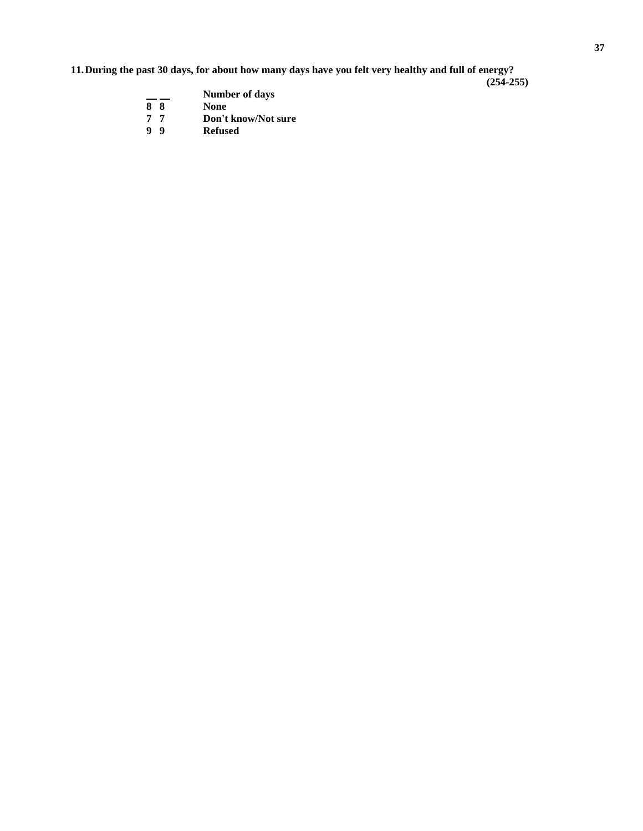**11. During the past 30 days, for about how many days have you felt very healthy and full of energy?** 

**(254-255)** 

|    |     | <b>Number of days</b> |
|----|-----|-----------------------|
| 8  | -8  | <b>None</b>           |
| 77 |     | Don't know/Not sure   |
| -9 | - 9 | <b>Refused</b>        |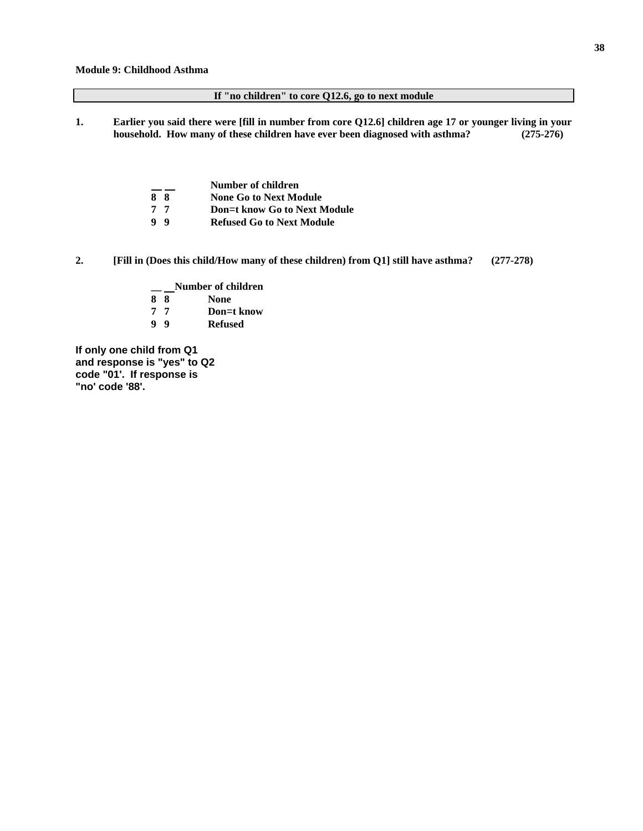#### **If "no children" to core Q12.6, go to next module**

**1. Earlier you said there were [fill in number from core Q12.6] children age 17 or younger living in your household. How many of these children have ever been diagnosed with asthma? (275-276)** 

|                | Number of children                  |
|----------------|-------------------------------------|
| 88             | <b>None Go to Next Module</b>       |
| 77             | <b>Don=t know Go to Next Module</b> |
| 9 <sub>9</sub> | <b>Refused Go to Next Module</b>    |

**2. [Fill in (Does this child/How many of these children) from Q1] still have asthma? (277-278)** 

 $\frac{1}{8}$  Number of children **None 8 8 None 7 7 Don**=**t know 9 9 Refused** 

**If only one child from Q1 and response is "yes" to Q2 code "01'. If response is "no' code '88'.**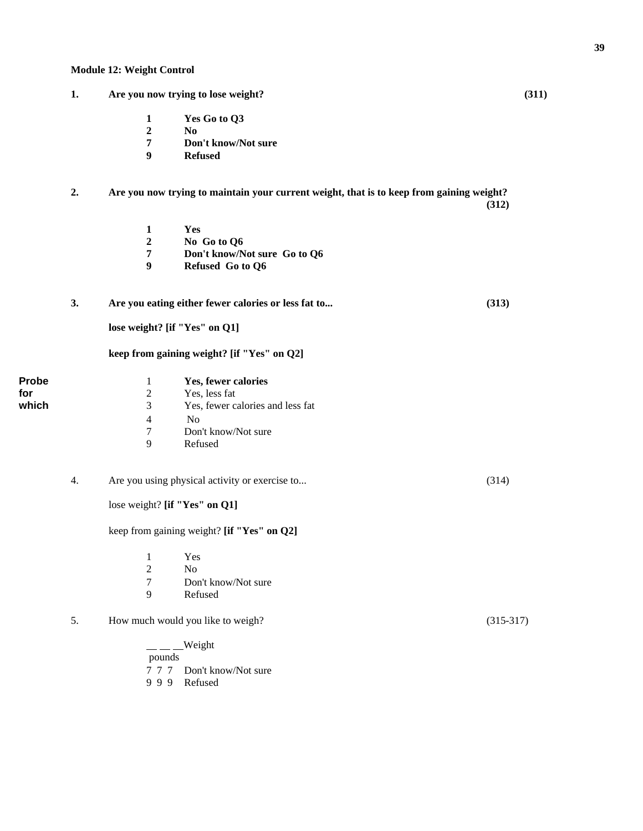**1 Yes Go to Q3 2 No 7 Don't know/Not sure 9 Refused 2. Are you now trying to maintain your current weight, that is to keep from gaining weight? (312) 1 Yes 2 No Go to Q6 7 Don't know/Not sure Go to Q6 9 Refused Go to Q6 3. Are you eating either fewer calories or less fat to... (313) lose weight? [if "Yes" on Q1] keep from gaining weight? [if "Yes" on Q2] Probe** 1 **Yes, fewer calories for**  $\begin{array}{ccc} 2 & \text{Yes, less fat} \\ 3 & \text{Yes, fewer ca} \end{array}$ which 3 Yes, fewer calories and less fat 4 No<br>7 Don Don't know/Not sure 9 Refused 4. Are you using physical activity or exercise to... (314) lose weight? **[if "Yes" on Q1]** keep from gaining weight? **[if "Yes" on Q2]**  1 Yes 2 No 7 Don't know/Not sure<br>9 Refused **Refused** 5. How much would you like to weigh? (315-317) Weight

**1. Are you now trying to lose weight? (311)** 

 pounds 7 7 7 Don't know/Not sure 9 9 9 Refused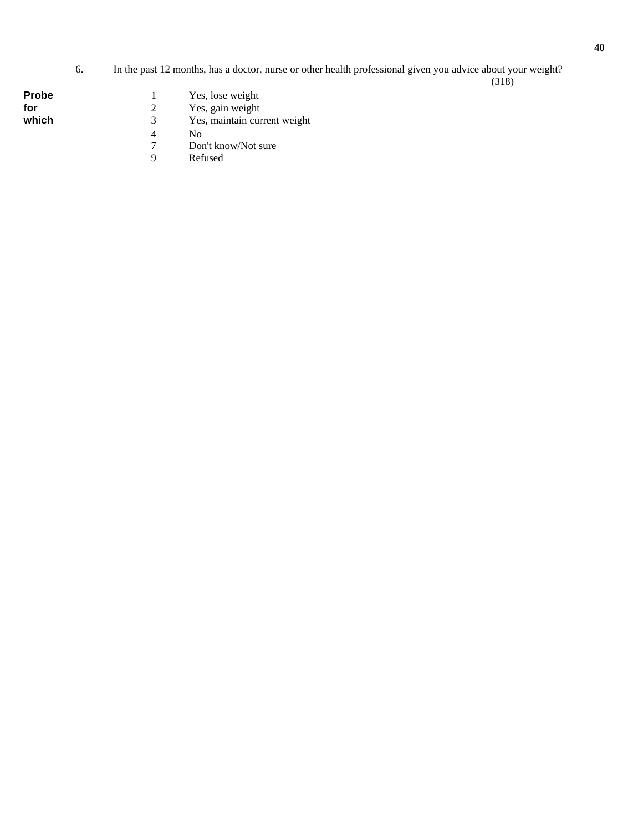#### 6. In the past 12 months, has a doctor, nurse or other health professional given you advice about your weight? (318)

| Probe |  |
|-------|--|
| for   |  |
| which |  |

- 1 Yes, lose weight<br>
2 Yes, gain weight<br>
3 Yes, maintain cu
- Yes, gain weight
	- <sup>3</sup> Yes, maintain current weight<br><sup>4</sup> No
	- 4 No
	- 7 Don't know/Not sure
		- **Refused**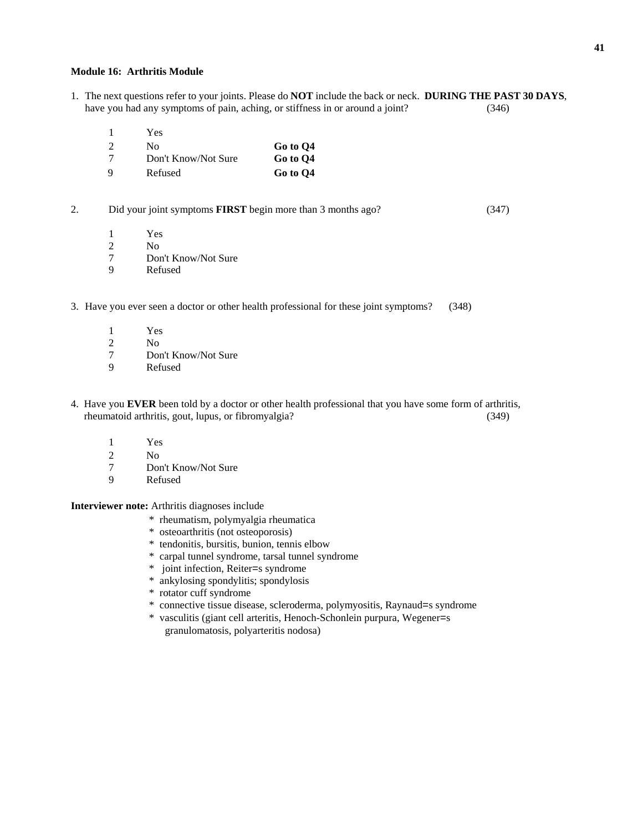#### **Module 16: Arthritis Module**

- 1. The next questions refer to your joints. Please do **NOT** include the back or neck. **DURING THE PAST 30 DAYS**, have you had any symptoms of pain, aching, or stiffness in or around a joint? (346)
	- 1 Yes

|   | Nο                  | Go to O4 |
|---|---------------------|----------|
|   | Don't Know/Not Sure | Go to O4 |
| Q | Refused             | Go to Q4 |

2. Did your joint symptoms **FIRST** begin more than 3 months ago? (347)

- 1 Yes<br>2 No
- N<sub>o</sub>
- 7 Don't Know/Not Sure
- 9 Refused
- 3. Have you ever seen a doctor or other health professional for these joint symptoms? (348)
	- $\frac{1}{2}$  Yes
	- N<sub>o</sub>
	- 7 Don't Know/Not Sure
	- 9 Refused
- 4. Have you **EVER** been told by a doctor or other health professional that you have some form of arthritis, rheumatoid arthritis, gout, lupus, or fibromyalgia? (349)
	- 1 Yes
	-
	- 2 No<br>7 Dol Don't Know/Not Sure
	- 9 Refused

**Interviewer note:** Arthritis diagnoses include

- \* rheumatism, polymyalgia rheumatica
- \* osteoarthritis (not osteoporosis)
- \* tendonitis, bursitis, bunion, tennis elbow
- \* carpal tunnel syndrome, tarsal tunnel syndrome
- \* joint infection, Reiter=s syndrome
- \* ankylosing spondylitis; spondylosis
- \* rotator cuff syndrome
- \* connective tissue disease, scleroderma, polymyositis, Raynaud=s syndrome
- \* vasculitis (giant cell arteritis, Henoch-Schonlein purpura, Wegener=s granulomatosis, polyarteritis nodosa)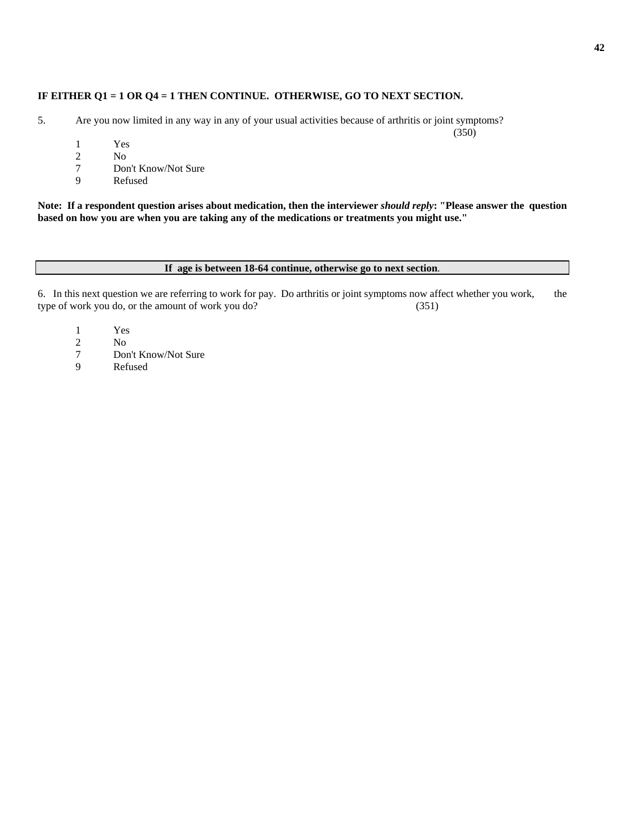### **IF EITHER Q1 = 1 OR Q4 = 1 THEN CONTINUE. OTHERWISE, GO TO NEXT SECTION.**

- 5. Are you now limited in any way in any of your usual activities because of arthritis or joint symptoms?
	- $\frac{1}{2}$  Yes
	- N<sub>o</sub>
	- 7 Don't Know/Not Sure
	- 9 Refused

**Note: If a respondent question arises about medication, then the interviewer** *should reply***: "Please answer the question based on how you are when you are taking any of the medications or treatments you might use."** 

#### **If age is between 18-64 continue, otherwise go to next section**.

6. In this next question we are referring to work for pay. Do arthritis or joint symptoms now affect whether you work, the type of work you do, or the amount of work you do? (351)

- 1 Yes
- $\frac{2}{7}$  No<br> $\frac{1}{2}$
- 7 Don't Know/Not Sure
- 9 Refused

(350)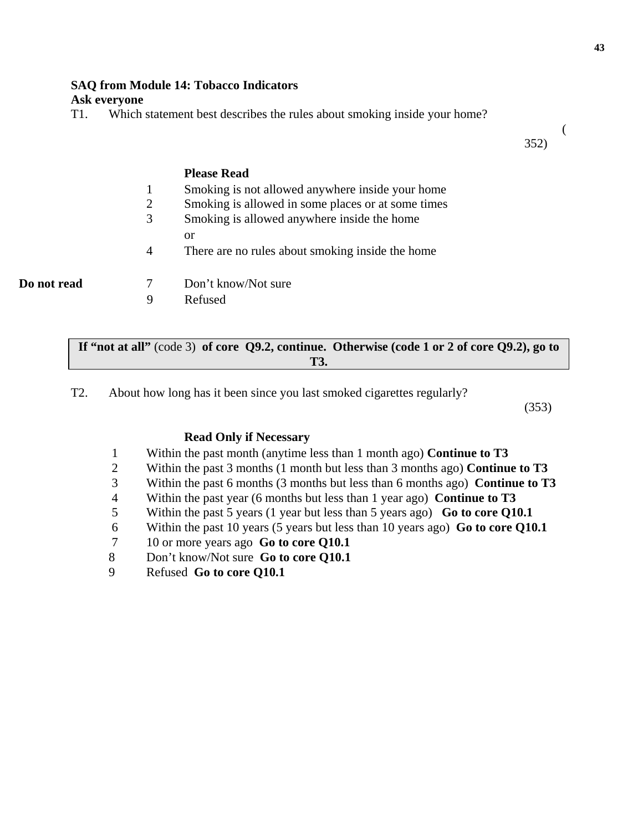#### **43**

# **SAQ from Module 14: Tobacco Indicators**

# **Ask everyone**

T1. Which statement best describes the rules about smoking inside your home?

 ( 352)

# **Please Read** 1 Smoking is not allowed anywhere inside your home 2 Smoking is allowed in some places or at some times 3 Smoking is allowed anywhere inside the home or 4 There are no rules about smoking inside the home **Do not read** 7 Don't know/Not sure

9 Refused

|            | If "not at all" (code 3) of core $Q9.2$ , continue. Otherwise (code 1 or 2 of core $Q9.2$ ), go to |
|------------|----------------------------------------------------------------------------------------------------|
| <b>T3.</b> |                                                                                                    |

T2. About how long has it been since you last smoked cigarettes regularly?

(353)

# **Read Only if Necessary**

- 1 Within the past month (anytime less than 1 month ago) **Continue to T3**
- 2 Within the past 3 months (1 month but less than 3 months ago) **Continue to T3**
- 3 Within the past 6 months (3 months but less than 6 months ago) **Continue to T3**
- 4 Within the past year (6 months but less than 1 year ago) **Continue to T3**
- 5 Within the past 5 years (1 year but less than 5 years ago) **Go to core Q10.1**
- 6 Within the past 10 years (5 years but less than 10 years ago) **Go to core Q10.1**
- 7 10 or more years ago **Go to core Q10.1**
- 8 Don't know/Not sure **Go to core Q10.1**
- 9 Refused **Go to core Q10.1**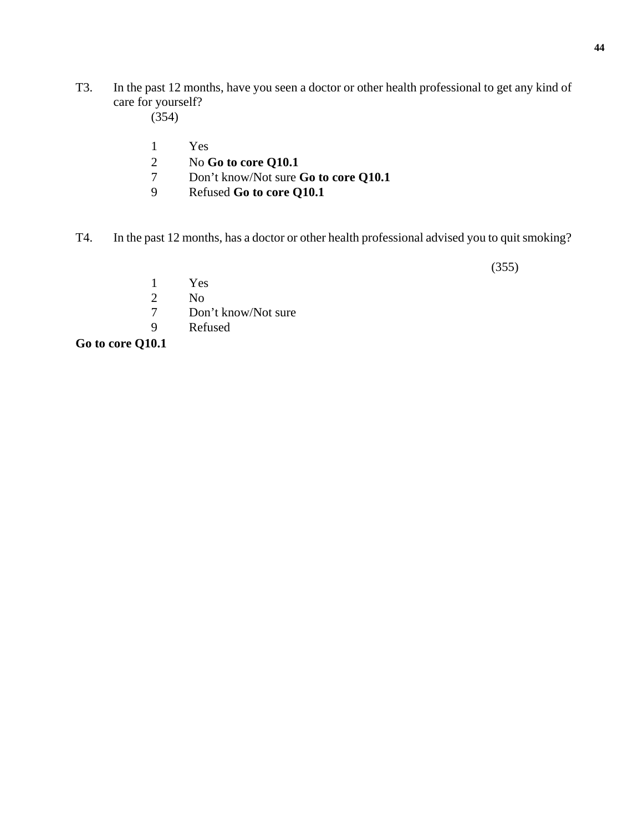- T3. In the past 12 months, have you seen a doctor or other health professional to get any kind of care for yourself?
	- (354)
	- 1 Yes
	- 2 No **Go to core Q10.1**<br>7 Don't know/Not sure
	- 7 Don't know/Not sure **Go to core Q10.1**
	- 9 Refused **Go to core Q10.1**
- T4. In the past 12 months, has a doctor or other health professional advised you to quit smoking?

(355)

- 1 Yes
- 2 No
- 7 Don't know/Not sure
- 9 Refused

**Go to core Q10.1**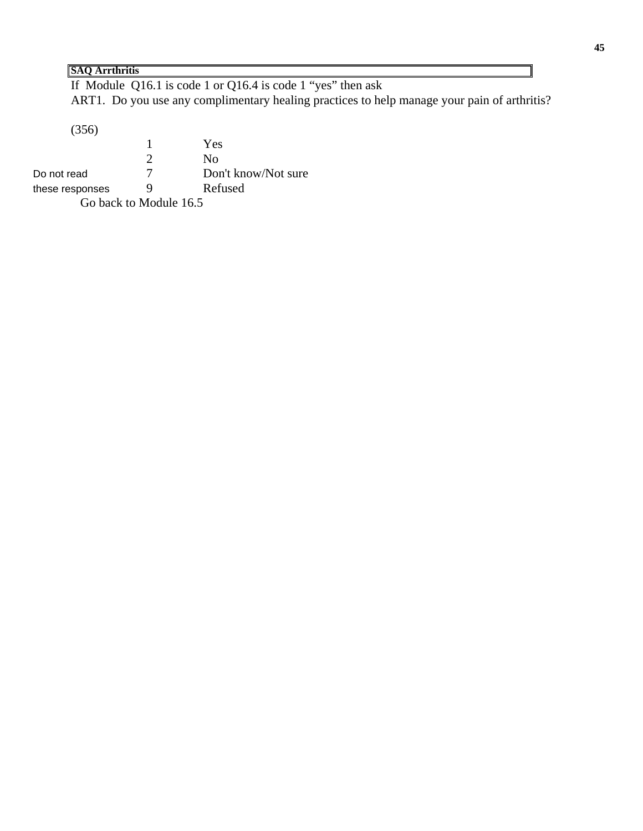# **SAQ Arrthritis**

If Module Q16.1 is code 1 or Q16.4 is code 1 "yes" then ask ART1. Do you use any complimentary healing practices to help manage your pain of arthritis?

(356)

1 Yes<br>2 No No. Do not read 7 Don't know/Not sure these responses 9 Refused Go back to Module 16.5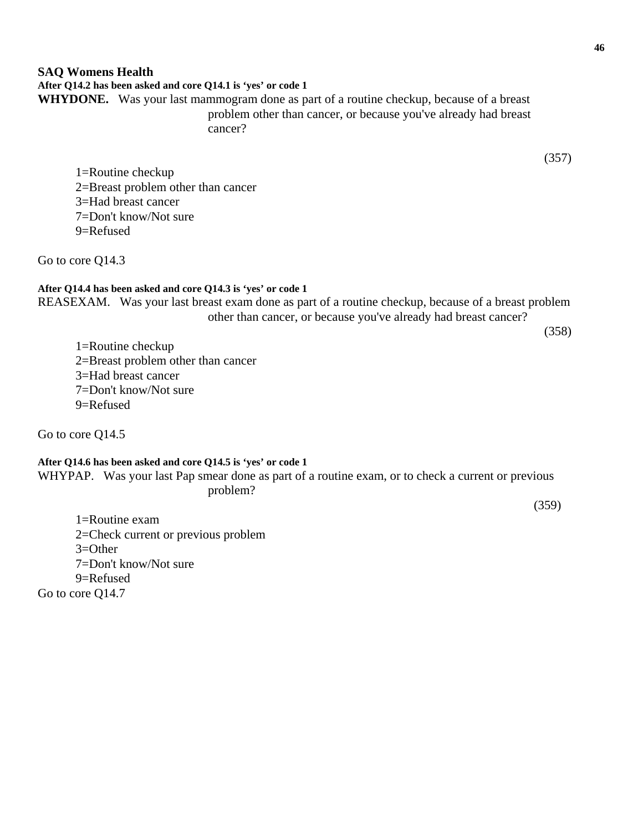# **SAQ Womens Health After Q14.2 has been asked and core Q14.1 is 'yes' or code 1 WHYDONE.** Was your last mammogram done as part of a routine checkup, because of a breast problem other than cancer, or because you've already had breast

cancer?

(357)

1=Routine checkup 2=Breast problem other than cancer 3=Had breast cancer 7=Don't know/Not sure 9=Refused

Go to core Q14.3

# **After Q14.4 has been asked and core Q14.3 is 'yes' or code 1**

REASEXAM. Was your last breast exam done as part of a routine checkup, because of a breast problem other than cancer, or because you've already had breast cancer?

(358)

1=Routine checkup 2=Breast problem other than cancer 3=Had breast cancer 7=Don't know/Not sure 9=Refused

Go to core Q14.5

# **After Q14.6 has been asked and core Q14.5 is 'yes' or code 1**

WHYPAP. Was your last Pap smear done as part of a routine exam, or to check a current or previous problem?

(359)

1=Routine exam 2=Check current or previous problem  $3=Other$ 7=Don't know/Not sure 9=Refused Go to core Q14.7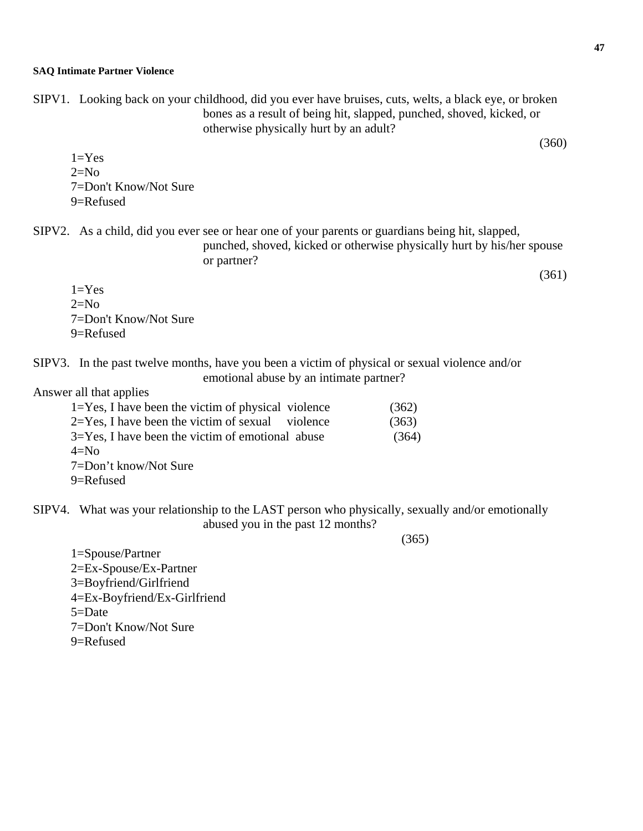SIPV1. Looking back on your childhood, did you ever have bruises, cuts, welts, a black eye, or broken bones as a result of being hit, slapped, punched, shoved, kicked, or otherwise physically hurt by an adult?

 $1=Yes$  $2=N<sub>0</sub>$ 7=Don't Know/Not Sure 9=Refused

SIPV2. As a child, did you ever see or hear one of your parents or guardians being hit, slapped,

punched, shoved, kicked or otherwise physically hurt by his/her spouse or partner?

 $1 = Yes$  $2=N<sub>0</sub>$ 7=Don't Know/Not Sure 9=Refused

SIPV3. In the past twelve months, have you been a victim of physical or sexual violence and/or emotional abuse by an intimate partner?

Answer all that applies

| $1 = Yes$ , I have been the victim of physical violence | (362) |
|---------------------------------------------------------|-------|
| $2 = Yes$ , I have been the victim of sexual violence   | (363) |
| $3 = Yes$ , I have been the victim of emotional abuse   | (364) |
| $4=N0$                                                  |       |
| 7=Don't know/Not Sure                                   |       |
| $9 =$ Refused                                           |       |

SIPV4. What was your relationship to the LAST person who physically, sexually and/or emotionally abused you in the past 12 months?

(365)

1=Spouse/Partner 2=Ex-Spouse/Ex-Partner 3=Boyfriend/Girlfriend 4=Ex-Boyfriend/Ex-Girlfriend 5=Date 7=Don't Know/Not Sure 9=Refused

(360)

(361)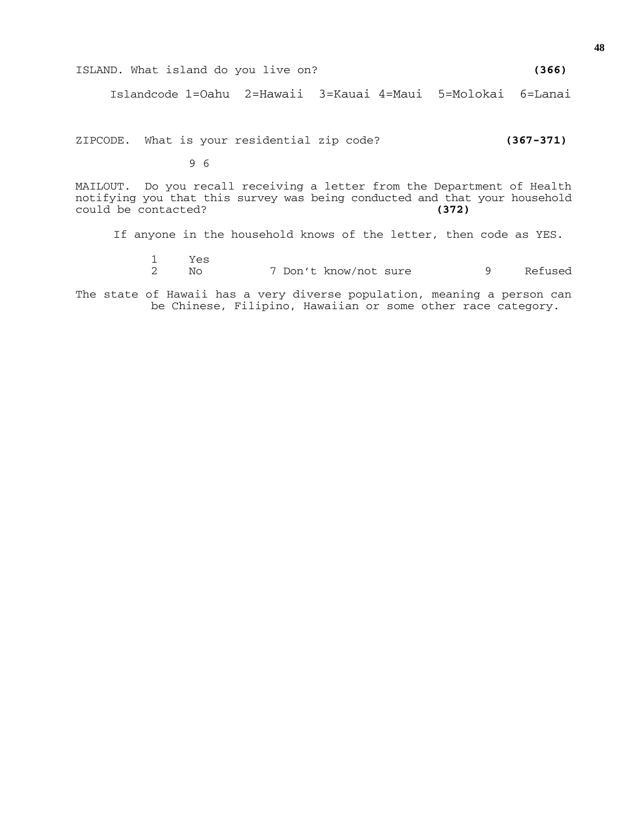|  |  | ISLAND. What island do you live on? |  |  |  |  | (366) |
|--|--|-------------------------------------|--|--|--|--|-------|
|--|--|-------------------------------------|--|--|--|--|-------|

Islandcode 1=Oahu 2=Hawaii 3=Kauai 4=Maui 5=Molokai 6=Lanai

ZIPCODE. What is your residential zip code? **(367-371)** 

9 6

MAILOUT. Do you recall receiving a letter from the Department of Health notifying you that this survey was being conducted and that your household could be contacted? **(372)**

If anyone in the household knows of the letter, then code as YES.

1 Yes 7 Don't know/not sure 9 Refused

The state of Hawaii has a very diverse population, meaning a person can be Chinese, Filipino, Hawaiian or some other race category.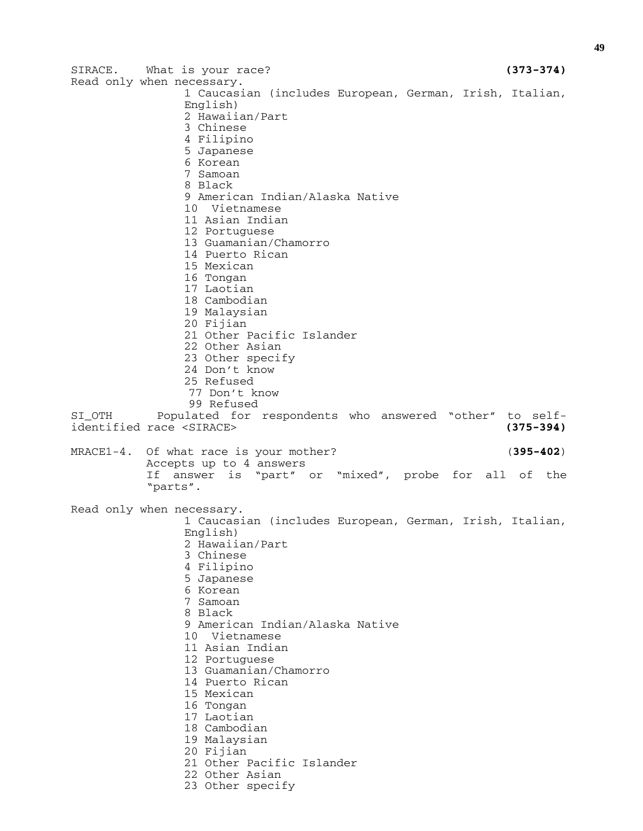SIRACE. What is your race? **(373-374)**  Read only when necessary. 1 Caucasian (includes European, German, Irish, Italian, English) 2 Hawaiian/Part 3 Chinese 4 Filipino 5 Japanese 6 Korean 7 Samoan 8 Black 9 American Indian/Alaska Native 10 Vietnamese 11 Asian Indian 12 Portuguese 13 Guamanian/Chamorro 14 Puerto Rican 15 Mexican 16 Tongan 17 Laotian 18 Cambodian 19 Malaysian 20 Fijian 21 Other Pacific Islander 22 Other Asian 23 Other specify 24 Don't know 25 Refused 77 Don't know 99 Refused SI\_OTH Populated for respondents who answered "other" to selfidentified race <SIRACE> **(375-394)** MRACE1-4. Of what race is your mother? (**395-402**) Accepts up to 4 answers If answer is "part" or "mixed", probe for all of the "parts". Read only when necessary. 1 Caucasian (includes European, German, Irish, Italian, English) 2 Hawaiian/Part 3 Chinese 4 Filipino 5 Japanese 6 Korean 7 Samoan 8 Black 9 American Indian/Alaska Native 10 Vietnamese 11 Asian Indian 12 Portuguese 13 Guamanian/Chamorro 14 Puerto Rican 15 Mexican 16 Tongan 17 Laotian 18 Cambodian 19 Malaysian 20 Fijian 21 Other Pacific Islander 22 Other Asian 23 Other specify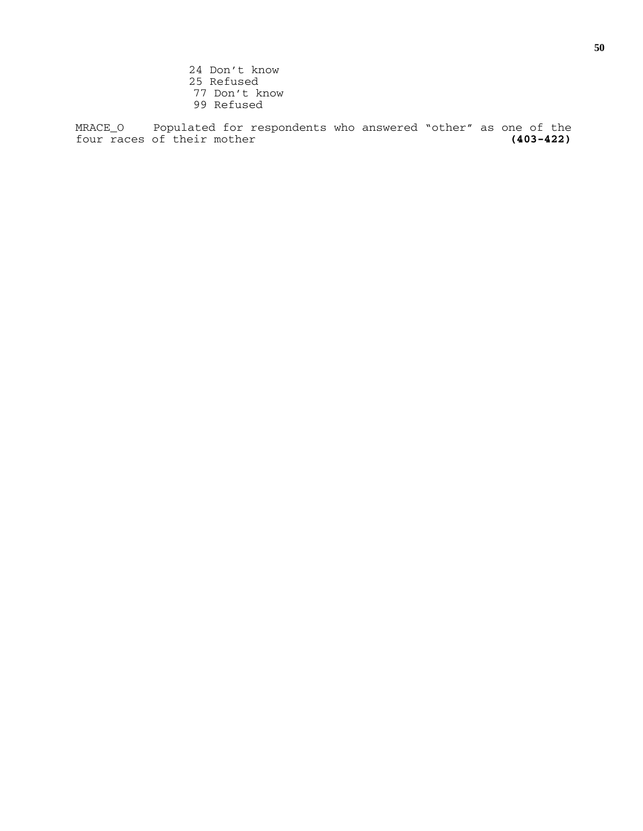24 Don't know 25 Refused 77 Don't know 99 Refused

MRACE\_O Populated for respondents who answered "other" as one of the four races of their mother four races of their mother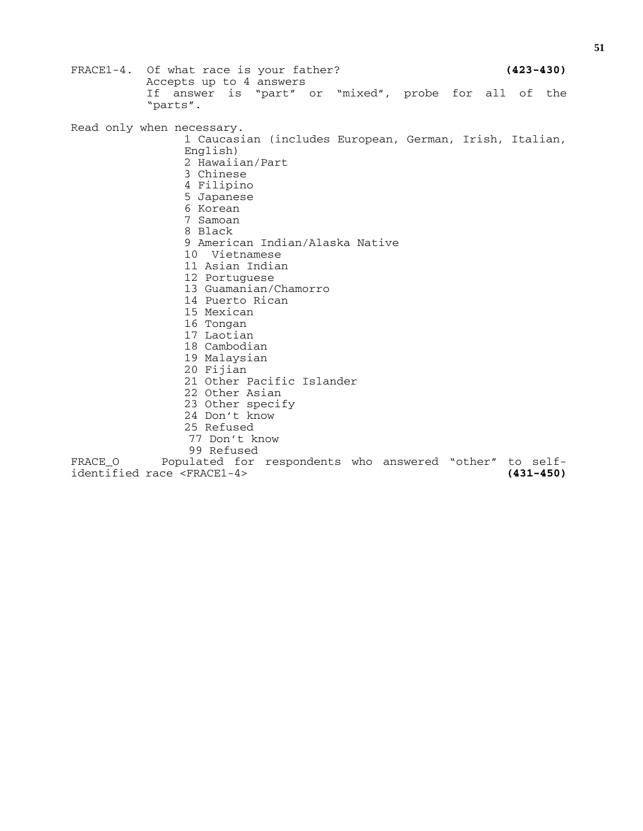FRACE1-4. Of what race is your father? **(423-430)** Accepts up to 4 answers If answer is "part" or "mixed", probe for all of the "parts". Read only when necessary. 1 Caucasian (includes European, German, Irish, Italian, English) 2 Hawaiian/Part 3 Chinese 4 Filipino 5 Japanese 6 Korean 7 Samoan 8 Black 9 American Indian/Alaska Native 10 Vietnamese 11 Asian Indian 12 Portuguese 13 Guamanian/Chamorro 14 Puerto Rican 15 Mexican 16 Tongan 17 Laotian 18 Cambodian 19 Malaysian 20 Fijian 21 Other Pacific Islander 22 Other Asian 23 Other specify 24 Don't know 25 Refused 77 Don't know 99 Refused<br>FRACE 0 Populated for Populated for respondents who answered "other" to self-<br>ce <FRACE1-4> (431-450) identified race <FRACE1-4> **(431-450)**